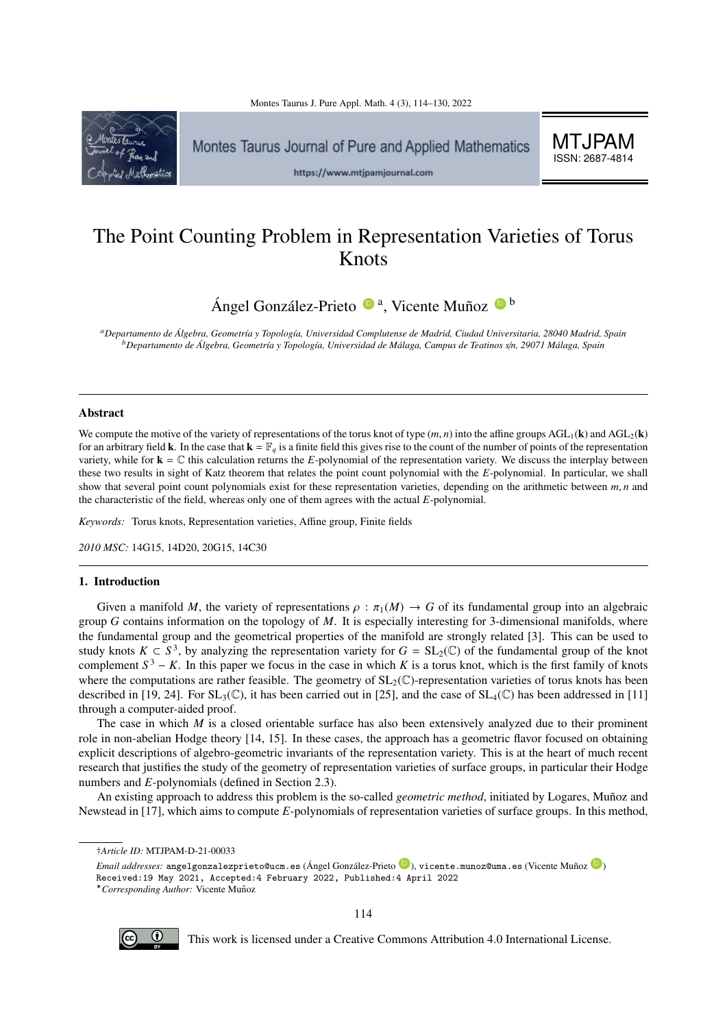MTJPAM ISSN: 2687-4814



# The Point Counting Problem in Representation Varieties of Torus Knots

Ángel González-Prieto <sup>(• a</sup>, Vicente Muñoz <sup>• b</sup>

*<sup>a</sup>Departamento de Algebra, Geometr´ıa y Topolog´ıa, Universidad Complutense de Madrid, Ciudad Universitaria, 28040 Madrid, Spain ´ <sup>b</sup>Departamento de Algebra, Geometr´ıa y Topolog´ıa, Universidad de M´alaga, Campus de Teatinos s ´* /*n, 29071 M´alaga, Spain*

## Abstract

We compute the motive of the variety of representations of the torus knot of type  $(m, n)$  into the affine groups  $AGL_1(k)$  and  $AGL_2(k)$ for an arbitrary field **k**. In the case that  $\mathbf{k} = \mathbb{F}_q$  is a finite field this gives rise to the count of the number of points of the representation variety, while for  $\mathbf{k} = \mathbb{C}$  this calculation returns the *E*-polynomial of the representation variety. We discuss the interplay between these two results in sight of Katz theorem that relates the point count polynomial with the *E*-polynomial. In particular, we shall show that several point count polynomials exist for these representation varieties, depending on the arithmetic between *<sup>m</sup>*, *<sup>n</sup>* and the characteristic of the field, whereas only one of them agrees with the actual *E*-polynomial.

*Keywords:* Torus knots, Representation varieties, Affine group, Finite fields

*2010 MSC:* 14G15, 14D20, 20G15, 14C30

# 1. Introduction

Given a manifold *M*, the variety of representations  $\rho : \pi_1(M) \to G$  of its fundamental group into an algebraic group *G* contains information on the topology of *M*. It is especially interesting for 3-dimensional manifolds, where the fundamental group and the geometrical properties of the manifold are strongly related [\[3\]](#page-16-1). This can be used to study knots  $K \subset S^3$ , by analyzing the representation variety for  $G = SL_2(\mathbb{C})$  of the fundamental group of the knot complement  $S^3 - K$ . In this paper we focus in the case in which K is a torus knot, which is the first family of knots where the computations are rather feasible. The geometry of  $SL_2(\mathbb{C})$ -representation varieties of torus knots has been described in [\[19,](#page-16-2) [24\]](#page-16-3). For  $SL_3(\mathbb{C})$ , it has been carried out in [\[25\]](#page-16-4), and the case of  $SL_4(\mathbb{C})$  has been addressed in [\[11\]](#page-16-5) through a computer-aided proof.

The case in which *M* is a closed orientable surface has also been extensively analyzed due to their prominent role in non-abelian Hodge theory [\[14,](#page-16-6) [15\]](#page-16-7). In these cases, the approach has a geometric flavor focused on obtaining explicit descriptions of algebro-geometric invariants of the representation variety. This is at the heart of much recent research that justifies the study of the geometry of representation varieties of surface groups, in particular their Hodge numbers and *E*-polynomials (defined in Section [2.3\)](#page-4-0).

An existing approach to address this problem is the so-called *geometric method*, initiated by Logares, Muñoz and Newstead in [\[17\]](#page-16-8), which aims to compute *E*-polynomials of representation varieties of surface groups. In this method,



This work is licensed under a Creative Commons Attribution 4.0 International License.

<sup>†</sup>*Article ID:* MTJPAM-D-21-00033

*Email addresses*: angelgonzalezprieto@ucm.es (Ángel González-Prieto  $\bullet$ ), vicente.munoz@uma.es (Vicente Muñoz  $\bullet$ ) Received:19 May 2021, Accepted:4 February 2022, Published:4 April 2022 <sup>⋆</sup>*Corresponding Author:* Vicente Munoz ˜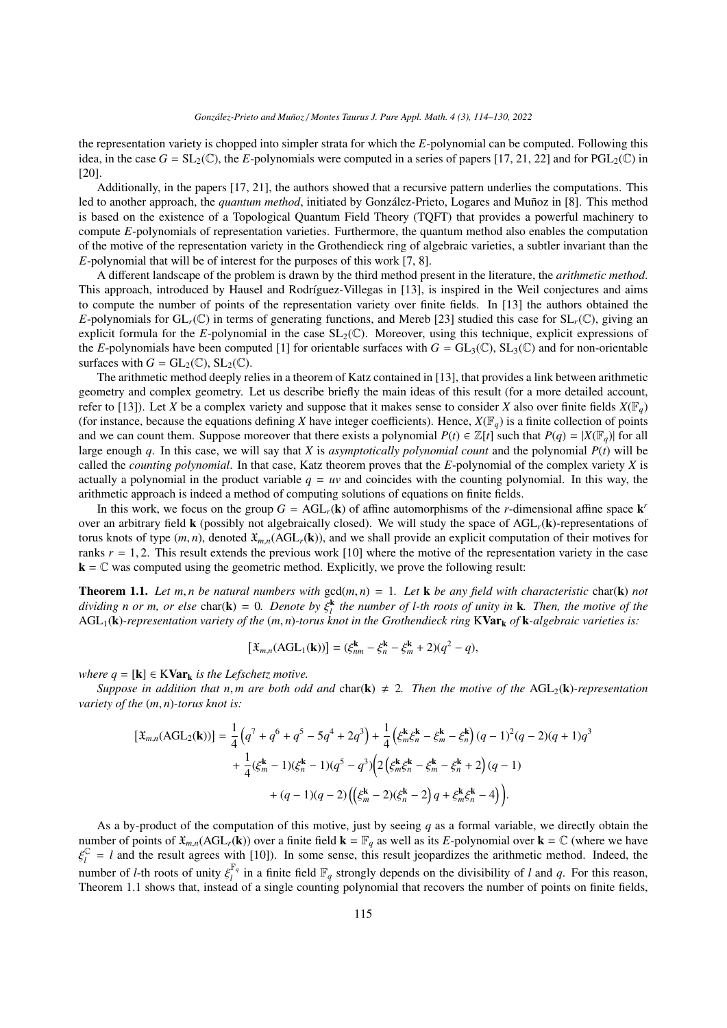the representation variety is chopped into simpler strata for which the *E*-polynomial can be computed. Following this idea, in the case  $G = SL_2(\mathbb{C})$ , the *E*-polynomials were computed in a series of papers [\[17,](#page-16-8) [21,](#page-16-9) [22\]](#page-16-10) and for PGL<sub>2</sub>( $\mathbb{C}$ ) in [\[20\]](#page-16-11).

Additionally, in the papers [\[17,](#page-16-8) [21\]](#page-16-9), the authors showed that a recursive pattern underlies the computations. This led to another approach, the *quantum method*, initiated by González-Prieto, Logares and Muñoz in [\[8\]](#page-16-12). This method is based on the existence of a Topological Quantum Field Theory (TQFT) that provides a powerful machinery to compute *E*-polynomials of representation varieties. Furthermore, the quantum method also enables the computation of the motive of the representation variety in the Grothendieck ring of algebraic varieties, a subtler invariant than the *E*-polynomial that will be of interest for the purposes of this work [\[7,](#page-16-13) [8\]](#page-16-12).

A different landscape of the problem is drawn by the third method present in the literature, the *arithmetic method*. This approach, introduced by Hausel and Rodríguez-Villegas in [\[13\]](#page-16-14), is inspired in the Weil conjectures and aims to compute the number of points of the representation variety over finite fields. In [\[13\]](#page-16-14) the authors obtained the *E*-polynomials for  $GL_r(\mathbb{C})$  in terms of generating functions, and Mereb [\[23\]](#page-16-15) studied this case for  $SL_r(\mathbb{C})$ , giving an explicit formula for the *E*-polynomial in the case  $SL_2(\mathbb{C})$ . Moreover, using this technique, explicit expressions of the *E*-polynomials have been computed [\[1\]](#page-16-16) for orientable surfaces with  $G = GL_3(\mathbb{C})$ ,  $SL_3(\mathbb{C})$  and for non-orientable surfaces with  $G = GL_2(\mathbb{C})$ ,  $SL_2(\mathbb{C})$ .

The arithmetic method deeply relies in a theorem of Katz contained in [\[13\]](#page-16-14), that provides a link between arithmetic geometry and complex geometry. Let us describe briefly the main ideas of this result (for a more detailed account, refer to [\[13\]](#page-16-14)). Let *X* be a complex variety and suppose that it makes sense to consider *X* also over finite fields  $X(\mathbb{F}_q)$ (for instance, because the equations defining *X* have integer coefficients). Hence,  $X(\mathbb{F}_q)$  is a finite collection of points and we can count them. Suppose moreover that there exists a polynomial  $P(t) \in \mathbb{Z}[t]$  such that  $P(q) = |X(\mathbb{F}_q)|$  for all large enough *q*. In this case, we will say that *X* is *asymptotically polynomial count* and the polynomial *P*(*t*) will be called the *counting polynomial*. In that case, Katz theorem proves that the *E*-polynomial of the complex variety *X* is actually a polynomial in the product variable  $q = uv$  and coincides with the counting polynomial. In this way, the arithmetic approach is indeed a method of computing solutions of equations on finite fields.

In this work, we focus on the group  $G = \text{AGL}_r(\mathbf{k})$  of affine automorphisms of the *r*-dimensional affine space  $\mathbf{k}'$ over an arbitrary field k (possibly not algebraically closed). We will study the space of AGL*r*(k)-representations of torus knots of type  $(m, n)$ , denoted  $\mathfrak{X}_{m,n}(AGL_r(\mathbf{k}))$ , and we shall provide an explicit computation of their motives for ranks  $r = 1, 2$ . This result extends the previous work [\[10\]](#page-16-17) where the motive of the representation variety in the case  $k = \mathbb{C}$  was computed using the geometric method. Explicitly, we prove the following result:

<span id="page-1-0"></span>**Theorem 1.1.** Let m, *n* be natural numbers with  $gcd(m, n) = 1$ . Let **k** be any field with characteristic char(**k**) not *dividing n or m, or else* char( $\bf{k}$ ) = 0. Denote by  $\xi_i^k$  the number of l-th roots of unity in  $\bf{k}$ . Then, the motive of the<br>AGU ( $\bf{k}$ )-representation variety of the (m n)-torus knot in the Grothendieck ring  $\bf{$ AGL1(k)*-representation variety of the* (*m*, *<sup>n</sup>*)*-torus knot in the Grothendieck ring* <sup>K</sup>Var<sup>k</sup> *of* <sup>k</sup>*-algebraic varieties is:*

$$
[\mathfrak{X}_{m,n}(\text{AGL}_1(\mathbf{k}))] = (\xi_{nm}^{\mathbf{k}} - \xi_n^{\mathbf{k}} - \xi_m^{\mathbf{k}} + 2)(q^2 - q),
$$

*where*  $q = [k] \in KVar_k$  *is the Lefschetz motive.* 

*Suppose in addition that n, m are both odd and char(k)*  $\neq$  *2. Then the motive of the* AGL<sub>2</sub>(k)*-representation variety of the* (*m*, *<sup>n</sup>*)*-torus knot is:*

$$
\begin{split} \left[\mathfrak{X}_{m,n}(\text{AGL}_{2}(\mathbf{k}))\right] &= \frac{1}{4}\left(q^{7} + q^{6} + q^{5} - 5q^{4} + 2q^{3}\right) + \frac{1}{4}\left(\xi_{m}^{\mathbf{k}}\xi_{n}^{\mathbf{k}} - \xi_{m}^{\mathbf{k}} - \xi_{n}^{\mathbf{k}}\right)(q-1)^{2}(q-2)(q+1)q^{3} \\ &+ \frac{1}{4}(\xi_{m}^{\mathbf{k}} - 1)(\xi_{n}^{\mathbf{k}} - 1)(q^{5} - q^{3})\left(2\left(\xi_{m}^{\mathbf{k}}\xi_{n}^{\mathbf{k}} - \xi_{m}^{\mathbf{k}} - \xi_{n}^{\mathbf{k}} + 2\right)(q-1) \\ &+ (q-1)(q-2)\left(\left(\xi_{m}^{\mathbf{k}} - 2)(\xi_{n}^{\mathbf{k}} - 2\right)q + \xi_{m}^{\mathbf{k}}\xi_{n}^{\mathbf{k}} - 4\right)\right). \end{split}
$$

As a by-product of the computation of this motive, just by seeing *q* as a formal variable, we directly obtain the number of points of  $\mathfrak{X}_{m,n}(\text{AGL}_r(\mathbf{k}))$  over a finite field  $\mathbf{k} = \mathbb{F}_q$  as well as its *E*-polynomial over  $\mathbf{k} = \mathbb{C}$  (where we have number of *l*-th roots of unity  $\xi_l^{\mathbb{F}_q}$ <br>Theorem 1.1 shows that instead C  $l_l$  = *l* and the result agrees with [\[10\]](#page-16-17)). In some sense, this result jeopardizes the arithmetic method. Indeed, the  $\int_l^{\mathbb{F}_q}$  in a finite field  $\mathbb{F}_q$  strongly depends on the divisibility of *l* and *q*. For this reason, Theorem [1.1](#page-1-0) shows that, instead of a single counting polynomial that recovers the number of points on finite fields,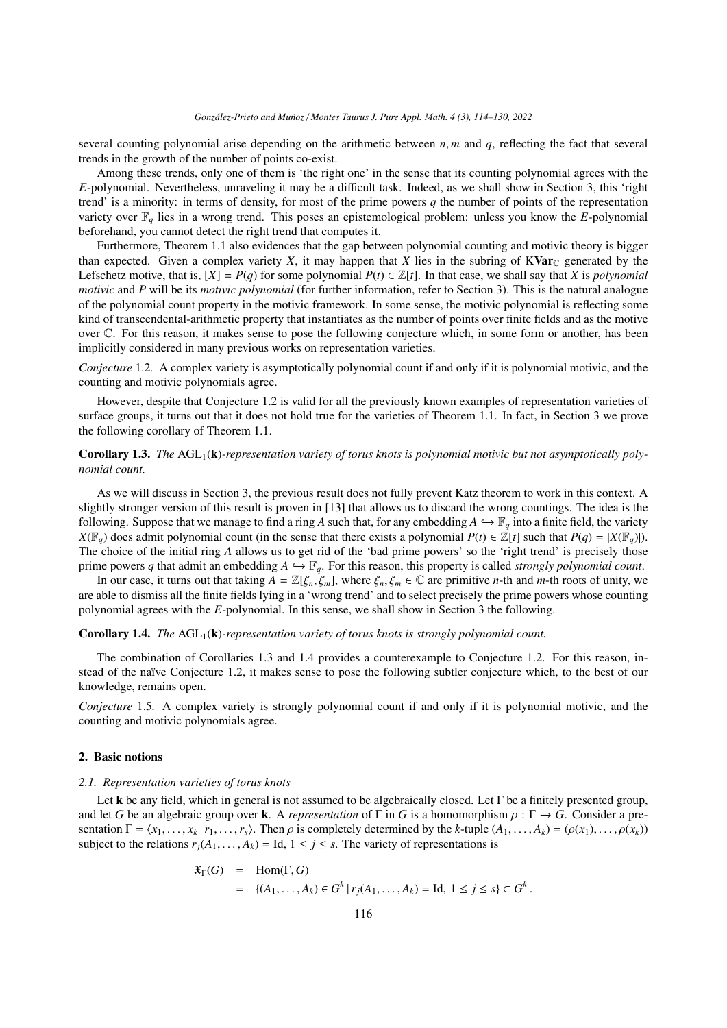#### *Gonz´alez-Prieto and Mu˜noz* / *Montes Taurus J. Pure Appl. Math. 4 (3), 114[–130,](#page-16-0) 2022*

several counting polynomial arise depending on the arithmetic between *<sup>n</sup>*, *<sup>m</sup>* and *<sup>q</sup>*, reflecting the fact that several trends in the growth of the number of points co-exist.

Among these trends, only one of them is 'the right one' in the sense that its counting polynomial agrees with the *E*-polynomial. Nevertheless, unraveling it may be a difficult task. Indeed, as we shall show in Section [3,](#page-5-0) this 'right trend' is a minority: in terms of density, for most of the prime powers  $q$  the number of points of the representation variety over F*<sup>q</sup>* lies in a wrong trend. This poses an epistemological problem: unless you know the *E*-polynomial beforehand, you cannot detect the right trend that computes it.

Furthermore, Theorem [1.1](#page-1-0) also evidences that the gap between polynomial counting and motivic theory is bigger than expected. Given a complex variety *X*, it may happen that *X* lies in the subring of  $KVar_{\mathbb{C}}$  generated by the Lefschetz motive, that is,  $[X] = P(q)$  for some polynomial  $P(t) \in \mathbb{Z}[t]$ . In that case, we shall say that *X* is *polynomial motivic* and *P* will be its *motivic polynomial* (for further information, refer to Section [3\)](#page-5-0). This is the natural analogue of the polynomial count property in the motivic framework. In some sense, the motivic polynomial is reflecting some kind of transcendental-arithmetic property that instantiates as the number of points over finite fields and as the motive over C. For this reason, it makes sense to pose the following conjecture which, in some form or another, has been implicitly considered in many previous works on representation varieties.

<span id="page-2-0"></span>*Conjecture* 1.2*.* A complex variety is asymptotically polynomial count if and only if it is polynomial motivic, and the counting and motivic polynomials agree.

However, despite that Conjecture [1.2](#page-2-0) is valid for all the previously known examples of representation varieties of surface groups, it turns out that it does not hold true for the varieties of Theorem [1.1.](#page-1-0) In fact, in Section [3](#page-5-0) we prove the following corollary of Theorem [1.1.](#page-1-0)

<span id="page-2-1"></span>**Corollary 1.3.** The AGL<sub>1</sub>(**k**)-representation variety of torus knots is polynomial motivic but not asymptotically poly*nomial count.*

As we will discuss in Section [3,](#page-5-0) the previous result does not fully prevent Katz theorem to work in this context. A slightly stronger version of this result is proven in [\[13\]](#page-16-14) that allows us to discard the wrong countings. The idea is the following. Suppose that we manage to find a ring *A* such that, for any embedding  $A \hookrightarrow \mathbb{F}_q$  into a finite field, the variety *X*( $\mathbb{F}_q$ ) does admit polynomial count (in the sense that there exists a polynomial *P*(*t*) ∈  $\mathbb{Z}[t]$  such that *P*(*q*) = |*X*( $\mathbb{F}_q$ )|). The choice of the initial ring *A* allows us to get rid of the 'bad prime powers' so the 'right trend' is precisely those prime powers q that admit an embedding  $A \hookrightarrow \mathbb{F}_q$ . For this reason, this property is called *strongly polynomial count*.

In our case, it turns out that taking  $A = \mathbb{Z}[\xi_n, \xi_m]$ , where  $\xi_n, \xi_m \in \mathbb{C}$  are primitive *n*-th and *m*-th roots of unity, we are able to dismiss all the finite fields lying in a 'wrong trend' and to select precisely the prime powers whose counting polynomial agrees with the *E*-polynomial. In this sense, we shall show in Section [3](#page-5-0) the following.

# <span id="page-2-2"></span>Corollary 1.4. *The* AGL<sub>1</sub>(k)*-representation variety of torus knots is strongly polynomial count.*

The combination of Corollaries [1.3](#page-2-1) and [1.4](#page-2-2) provides a counterexample to Conjecture [1.2.](#page-2-0) For this reason, in-stead of the naïve Conjecture [1.2,](#page-2-0) it makes sense to pose the following subtler conjecture which, to the best of our knowledge, remains open.

*Conjecture* 1.5*.* A complex variety is strongly polynomial count if and only if it is polynomial motivic, and the counting and motivic polynomials agree.

# 2. Basic notions

#### *2.1. Representation varieties of torus knots*

Let k be any field, which in general is not assumed to be algebraically closed. Let  $\Gamma$  be a finitely presented group, and let *G* be an algebraic group over k. A *representation* of  $\Gamma$  in *G* is a homomorphism  $\rho : \Gamma \to G$ . Consider a presentation  $\Gamma = \langle x_1, \ldots, x_k | r_1, \ldots, r_s \rangle$ . Then  $\rho$  is completely determined by the k-tuple  $(A_1, \ldots, A_k) = (\rho(x_1), \ldots, \rho(x_k))$ subject to the relations  $r_j(A_1, \ldots, A_k) =$  Id,  $1 \le j \le s$ . The variety of representations is

$$
\mathfrak{X}_{\Gamma}(G) = \text{Hom}(\Gamma, G)
$$
  
= {(*A*<sub>1</sub>,...,*A*<sub>k</sub>)  $\in G^k | r_j(A_1,...,A_k) = \text{Id}, 1 \le j \le s} \subset G^k.$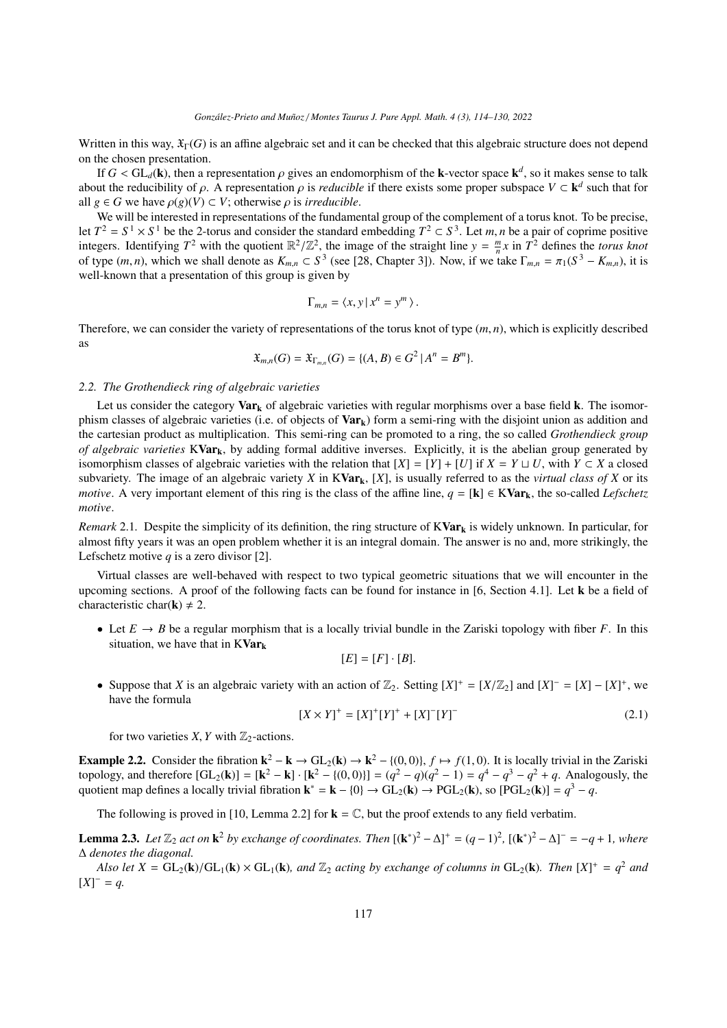Written in this way,  $\mathfrak{X}_{\Gamma}(G)$  is an affine algebraic set and it can be checked that this algebraic structure does not depend on the chosen presentation.

If  $G < GL_d(\mathbf{k})$ , then a representation  $\rho$  gives an endomorphism of the **k**-vector space  $\mathbf{k}^d$ , so it makes sense to talk<br>ut the reducibility of  $\alpha$ , A representation  $\alpha$  is *reducible* if there exists some proper s about the reducibility of  $\rho$ . A representation  $\rho$  is *reducible* if there exists some proper subspace  $V \subset \mathbf{k}^d$  such that for all  $g \in G$  we have  $o(g)(V) \subset V$ ; otherwise  $g$  is *irreducible* all  $g \in G$  we have  $\rho(g)(V) \subset V$ ; otherwise  $\rho$  is *irreducible*.

We will be interested in representations of the fundamental group of the complement of a torus knot. To be precise, let  $T^2 = S^1 \times S^1$  be the 2-torus and consider the standard embedding  $T^2 \subset S^3$ let  $T^2 = S^1 \times S^1$  be the 2-torus and consider the standard embedding  $T^2 \subset S^3$ . Let *m*, *n* be a pair of coprime positive<br>integers. Identifying  $T^2$  with the quotient  $\mathbb{R}^2/\mathbb{Z}^2$ , the image of the straight line *n*of type (*m*, *n*), which we shall denote as  $K_{m,n} \text{ }\subset S^3$  (see [\[28,](#page-16-18) Chapter 3]). Now, if we take Γ<sub>*m*,*n*</sub> = π<sub>1</sub>( $S^3 - K_{m,n}$ ), it is well-known that a presentation of this group is given by well-known that a presentation of this group is given by

$$
\Gamma_{m,n} = \langle x, y \, | \, x^n = y^m \rangle.
$$

Therefore, we can consider the variety of representations of the torus knot of type (*m*, *<sup>n</sup>*), which is explicitly described as

$$
\mathfrak{X}_{m,n}(G) = \mathfrak{X}_{\Gamma_{m,n}}(G) = \{ (A, B) \in G^2 \, | \, A^n = B^m \}.
$$

# *2.2. The Grothendieck ring of algebraic varieties*

Let us consider the category  $Var_k$  of algebraic varieties with regular morphisms over a base field **k**. The isomorphism classes of algebraic varieties (i.e. of objects of  $Var_k$ ) form a semi-ring with the disjoint union as addition and the cartesian product as multiplication. This semi-ring can be promoted to a ring, the so called *Grothendieck group of algebraic varieties*  $KVar_k$ , by adding formal additive inverses. Explicitly, it is the abelian group generated by isomorphism classes of algebraic varieties with the relation that  $[X] = [Y] + [U]$  if  $X = Y \sqcup U$ , with  $Y \subset X$  a closed subvariety. The image of an algebraic variety *X* in  $KVar_k$ , [X], is usually referred to as the *virtual class of X* or its *motive*. A very important element of this ring is the class of the affine line,  $q = [k] \in KVar_k$ , the so-called *Lefschetz motive*.

*Remark* 2.1. Despite the simplicity of its definition, the ring structure of  $KVar_k$  is widely unknown. In particular, for almost fifty years it was an open problem whether it is an integral domain. The answer is no and, more strikingly, the Lefschetz motive *q* is a zero divisor [\[2\]](#page-16-19).

Virtual classes are well-behaved with respect to two typical geometric situations that we will encounter in the upcoming sections. A proof of the following facts can be found for instance in [\[6,](#page-16-20) Section 4.1]. Let k be a field of characteristic char(**k**)  $\neq$  2.

• Let  $E \to B$  be a regular morphism that is a locally trivial bundle in the Zariski topology with fiber *F*. In this situation, we have that in  $KVar_k$ 

$$
[E] = [F] \cdot [B].
$$

• Suppose that *X* is an algebraic variety with an action of  $\mathbb{Z}_2$ . Setting  $[X]^+ = [X/\mathbb{Z}_2]$  and  $[X]^-= [X] - [X]^+$ , we have the formula have the formula

<span id="page-3-0"></span>
$$
[X \times Y]^{+} = [X]^{+}[Y]^{+} + [X]^{-}[Y]^{-}
$$
\n(2.1)

for two varieties *X*, *Y* with  $\mathbb{Z}_2$ -actions.

<span id="page-3-1"></span>**Example 2.2.** Consider the fibration  $\mathbf{k}^2 - \mathbf{k} \to GL_2(\mathbf{k}) \to \mathbf{k}^2 - \{(0,0)\}\$ ,  $f \mapsto f(1,0)$ . It is locally trivial in the Zariski topology, and therefore  $[\mathbf{GL}_2(\mathbf{k})] = [\mathbf{k}^2 - \mathbf{k}] \cdot [\mathbf{k}^2 - \{(0,0)\}] = (q^2 - q)(q^2 - 1) = q^4$ quotient map defines a locally trivial fibration  $\mathbf{k}^* = \mathbf{k} - \{0\} \to \text{GL}_2(\mathbf{k}) \to \text{PGL}_2(\mathbf{k})$ , so  $[\text{PGL}_2(\mathbf{k})] = q^3 - q$ .

The following is proved in [\[10,](#page-16-17) Lemma 2.2] for  $\mathbf{k} = \mathbb{C}$ , but the proof extends to any field verbatim.

<span id="page-3-2"></span>**Lemma 2.3.** Let  $\mathbb{Z}_2$  act on  $k^2$  by exchange of coordinates. Then  $[(k^*)^2 - \Delta]^+ = (q-1)^2$ ,  $[(k^*)^2 - \Delta]^+ = -q + 1$ , where ∆ *denotes the diagonal.*

*Also let*  $X = GL_2(k)/GL_1(k) \times GL_1(k)$ *, and*  $\mathbb{Z}_2$  *acting by exchange of columns in*  $GL_2(k)$ *. Then*  $[X]^+ = q^2$  *and*  $z^-= a$  $[X]^- = q$ .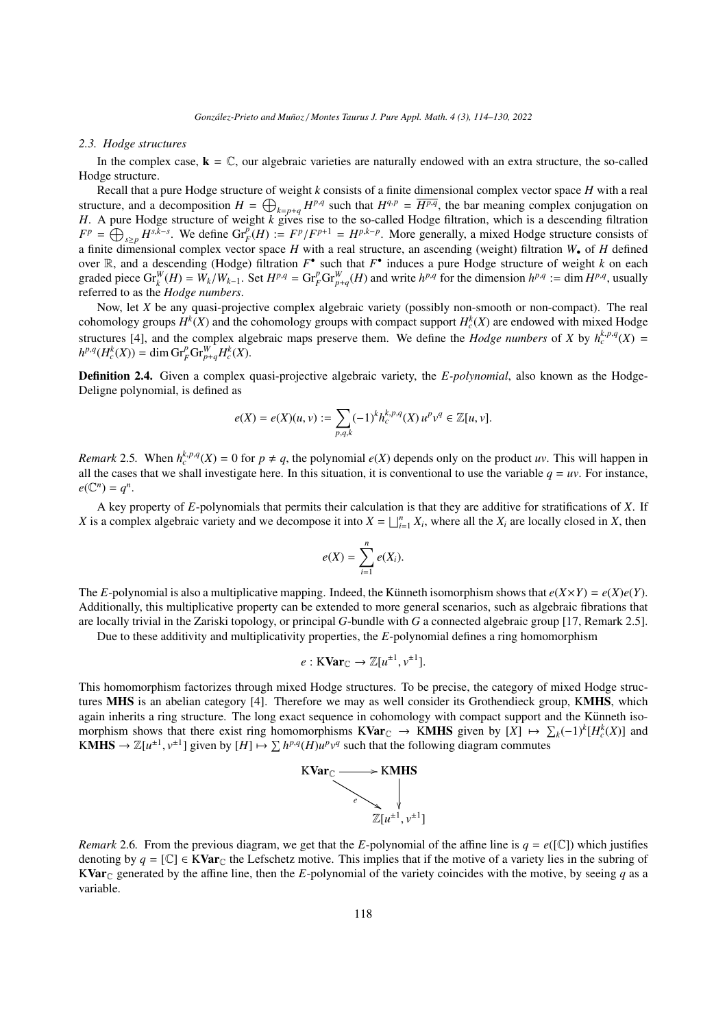## <span id="page-4-0"></span>*2.3. Hodge structures*

In the complex case,  $\mathbf{k} = \mathbb{C}$ , our algebraic varieties are naturally endowed with an extra structure, the so-called Hodge structure.

Recall that a pure Hodge structure of weight *k* consists of a finite dimensional complex vector space *H* with a real structure, and a decomposition  $H = \bigoplus_{k=p+q} H^{p,q}$  such that  $H^{q,p} = \overline{H^{p,q}}$ , the bar meaning complex conjugation on *H*. A pure Hodge structure of weight *k* gives rise to the so-called Hodge filtration, which is a descending filtration  $F^p = \bigoplus_{s \geq p} H^{s, \bar{k} - s}$ . We define  $\text{Gr}_F^p(H) := F^p/F^{p+1} = H^{p, k-p}$ . More generally, a mixed Hodge structure consists of a finite dimensional complex vector space *H* with a real structure, an ascending (weight) filtration *W*• of *H* defined over  $\mathbb{R}$ , and a descending (Hodge) filtration  $F^{\bullet}$  such that  $F^{\bullet}$  induces a pure Hodge structure of weight *k* on each graded piece  $\text{Gr}_{k}^{W}(H) = W_{k}/W_{k-1}$ . Set  $H^{p,q} = \text{Gr}_{F}^{p} \text{Gr}_{p+q}^{W}(H)$  and write  $h^{p,q}$  for the dimension  $h^{p,q} := \dim H^{p,q}$ , usually referred to as the *Hodge numbers*.

Now, let *X* be any quasi-projective complex algebraic variety (possibly non-smooth or non-compact). The real cohomology groups  $H^k(X)$  and the cohomology groups with compact support  $H_c^k(X)$  are endowed with mixed Hodge structures [\[4\]](#page-16-21), and the complex algebraic maps preserve them. We define the *Hodge numbers* of *X* by  $h_c^{k,p,q}(X)$  =  $h^{p,q}(H_c^k(X)) = \dim \mathrm{Gr}_F^p\mathrm{Gr}_{p+q}^W\overline{H_c^k(X)}$ .

Definition 2.4. Given a complex quasi-projective algebraic variety, the *E-polynomial*, also known as the Hodge-Deligne polynomial, is defined as

$$
e(X) = e(X)(u, v) := \sum_{p,q,k} (-1)^k h_c^{k,p,q}(X) u^p v^q \in \mathbb{Z}[u, v].
$$

*Remark* 2.5. When  $h_c^{k,p,q}(X) = 0$  for  $p \neq q$ , the polynomial  $e(X)$  depends only on the product *uv*. This will happen in all the cases that we shall investigate here. In this situation, it is conventional to use the variable  $q = uv$ . For instance,  $e(\mathbb{C}^n) = q^n$ .

A key property of *E*-polynomials that permits their calculation is that they are additive for stratifications of *X*. If *X* is a complex algebraic variety and we decompose it into  $X = \bigsqcup_{i=1}^{n} X_i$ , where all the  $X_i$  are locally closed in *X*, then

$$
e(X) = \sum_{i=1}^n e(X_i).
$$

The *E*-polynomial is also a multiplicative mapping. Indeed, the Künneth isomorphism shows that  $e(X \times Y) = e(X)e(Y)$ . Additionally, this multiplicative property can be extended to more general scenarios, such as algebraic fibrations that are locally trivial in the Zariski topology, or principal *G*-bundle with *G* a connected algebraic group [\[17,](#page-16-8) Remark 2.5].

Due to these additivity and multiplicativity properties, the *E*-polynomial defines a ring homomorphism

$$
e: \mathrm{KVar}_{\mathbb{C}} \to \mathbb{Z}[u^{\pm 1}, v^{\pm 1}].
$$

This homomorphism factorizes through mixed Hodge structures. To be precise, the category of mixed Hodge structures MHS is an abelian category [\[4\]](#page-16-21). Therefore we may as well consider its Grothendieck group, KMHS, which again inherits a ring structure. The long exact sequence in cohomology with compact support and the Künneth isomorphism shows that there exist ring homomorphisms  $KVar_C \rightarrow KMHS$  given by  $[X] \mapsto \sum_k (-1)^k [H_c^k(X)]$  and KMHS  $\rightarrow \mathbb{Z}[u^{\pm 1}, v^{\pm 1}]$  given by  $[H] \mapsto \sum h^{p,q}(H)u^p v^q$  such that the following diagram commutes



*Remark* 2.6. From the previous diagram, we get that the *E*-polynomial of the affine line is  $q = e([C])$  which justifies denoting by  $q = [\mathbb{C}] \in KVar_{\mathbb{C}}$  the Lefschetz motive. This implies that if the motive of a variety lies in the subring of KVar<sub>C</sub> generated by the affine line, then the *E*-polynomial of the variety coincides with the motive, by seeing *q* as a variable.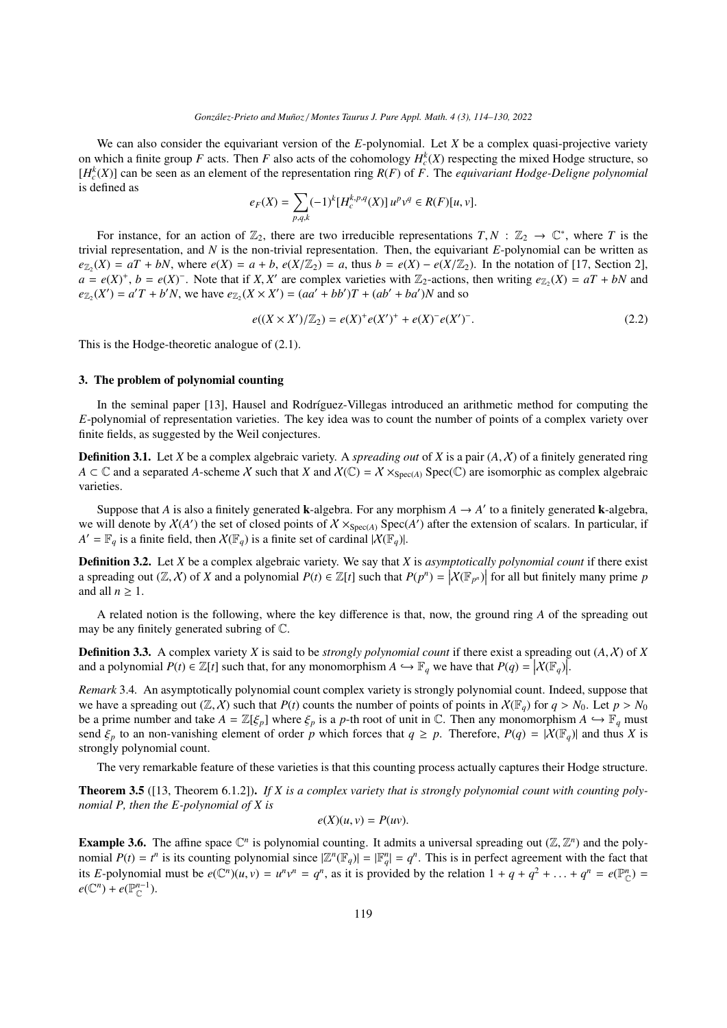We can also consider the equivariant version of the *E*-polynomial. Let *X* be a complex quasi-projective variety on which a finite group *F* acts. Then *F* also acts of the cohomology  $H_c^k(X)$  respecting the mixed Hodge structure, so  $[H_c^k(X)]$  can be seen as an element of the representation ring  $R(F)$  of *F*. The *equivariant Hodge-Deligne polynomial* is defined as

$$
e_F(X) = \sum_{p,q,k} (-1)^k [H_c^{k,p,q}(X)] u^p v^q \in R(F)[u,v].
$$

For instance, for an action of  $\mathbb{Z}_2$ , there are two irreducible representations  $T, N : \mathbb{Z}_2 \to \mathbb{C}^*$ , where *T* is the island representation and *N* is the non-trivial representation. Then the equivariant *F*-polyn trivial representation, and *N* is the non-trivial representation. Then, the equivariant *E*-polynomial can be written as  $e_{\mathbb{Z}_2}(X) = aT + bN$ , where  $e(X) = a + b$ ,  $e(X|\mathbb{Z}_2) = a$ , thus  $b = e(X) - e(X|\mathbb{Z}_2)$ . In the notation of [\[17,](#page-16-8) Section 2],  $a - e(X)^+$   $b - e(X)^-$  Note that if *X X'* are complex varieties with  $\mathbb{Z}_2$ -actions, then writing  $e_{\mathbb$  $a = e(X)^+$ ,  $b = e(X)^-$ . Note that if *X*, *X'* are complex varieties with  $\mathbb{Z}_2$ -actions, then writing  $e_{\mathbb{Z}_2}(X) = aT + bN$  and  $e_{\mathbb{Z}_2}(X^0) = a^T T + b^t N$  we have  $e_{\mathbb{Z}_2}(X \times X^t) = (aa^t + bb^t)T + (ab^t + ba^t)N$  and so  $e_{\mathbb{Z}_2}(X') = a'T + b'N$ , we have  $e_{\mathbb{Z}_2}(X \times X') = (aa' + bb')T + (ab' + ba')N$  and so

$$
e((X \times X')/\mathbb{Z}_2) = e(X)^{+}e(X')^{+} + e(X)^{-}e(X')^{-}.
$$
\n(2.2)

This is the Hodge-theoretic analogue of [\(2.1\)](#page-3-0).

## <span id="page-5-0"></span>3. The problem of polynomial counting

In the seminal paper [\[13\]](#page-16-14), Hausel and Rodríguez-Villegas introduced an arithmetic method for computing the *E*-polynomial of representation varieties. The key idea was to count the number of points of a complex variety over finite fields, as suggested by the Weil conjectures.

Definition 3.1. Let *<sup>X</sup>* be a complex algebraic variety. A *spreading out* of *<sup>X</sup>* is a pair (*A*, <sup>X</sup>) of a finitely generated ring *A* ⊂  $\mathbb C$  and a separated *A*-scheme *X* such that *X* and  $X(\mathbb C) = X \times_{Spec(A)} Spec(\mathbb C)$  are isomorphic as complex algebraic varieties.

Suppose that *A* is also a finitely generated **k**-algebra. For any morphism  $A \rightarrow A'$  to a finitely generated **k**-algebra, we will denote by  $X(A')$  the set of closed points of  $X \times_{Spec(A)} Spec(A')$  after the extension of scalars. In particular, if  $A' = \mathbb{F}_q$  is a finite field, then  $X(\mathbb{F}_q)$  is a finite set of cardinal  $|X(\mathbb{F}_q)|$ .

Definition 3.2. Let *X* be a complex algebraic variety. We say that *X* is *asymptotically polynomial count* if there exist a spreading out  $(\mathbb{Z}, \mathcal{X})$  of *X* and a polynomial  $P(t) \in \mathbb{Z}[t]$  such that  $P(p^n) = |\mathcal{X}(\mathbb{F}_{p^n})|$  for all but finitely many prime *p* and all  $n > 1$ and all  $n \geq 1$ .

A related notion is the following, where the key difference is that, now, the ground ring *A* of the spreading out may be any finitely generated subring of C.

**Definition 3.3.** A complex variety *X* is said to be *strongly polynomial count* if there exist a spreading out  $(A, X)$  of *X* and a polynomial  $P(t) \in \mathbb{Z}[t]$  such that, for any monomorphism  $A \hookrightarrow \mathbb{F}_q$  we have that  $P(q) = |\mathcal{X}(\mathbb{F}_q)|$ .

<span id="page-5-1"></span>*Remark* 3.4*.* An asymptotically polynomial count complex variety is strongly polynomial count. Indeed, suppose that we have a spreading out  $(\mathbb{Z}, \mathcal{X})$  such that  $P(t)$  counts the number of points of points in  $\mathcal{X}(\mathbb{F}_q)$  for  $q > N_0$ . Let  $p > N_0$ be a prime number and take  $A = \mathbb{Z}[\xi_p]$  where  $\xi_p$  is a p-th root of unit in  $\mathbb{C}$ . Then any monomorphism  $A \hookrightarrow \mathbb{F}_q$  must send  $\xi_p$  to an non-vanishing element of order *p* which forces that  $q \geq p$ . Therefore,  $P(q) = |X(\mathbb{F}_q)|$  and thus *X* is strongly polynomial count.

The very remarkable feature of these varieties is that this counting process actually captures their Hodge structure.

<span id="page-5-2"></span>Theorem 3.5 ([\[13,](#page-16-14) Theorem 6.1.2]). *If X is a complex variety that is strongly polynomial count with counting polynomial P, then the E-polynomial of X is*

$$
e(X)(u, v) = P(uv).
$$

**Example 3.6.** The affine space  $\mathbb{C}^n$  is polynomial counting. It admits a universal spreading out  $(\mathbb{Z}, \mathbb{Z}^n)$  and the poly-<br>nomial  $P(t) = t^n$  is its counting polynomial since  $|\mathbb{Z}^n(\mathbb{R})| = |\mathbb{R}^n| = a^n$ . This nomial  $P(t) = t^n$  is its counting polynomial since  $|\mathbb{Z}^n(\mathbb{F}_q)| = |\mathbb{F}_q^n| = q^n$ . This is in perfect agreement with the fact that its E-polynomial must be  $e(\mathbb{C}^n)(u, v) = u^n v^n = q^n$ , as it is provided by the relation  $1 + q + q^2 + ... + q^n = e(\mathbb{P}^n_{\mathbb{C}}) =$ <br> $e(\mathbb{C}^n) + e(\mathbb{D}^{n-1})$  $e(\mathbb{C}^n)+e(\mathbb{P}_{\mathbb{C}}^{n-1}).$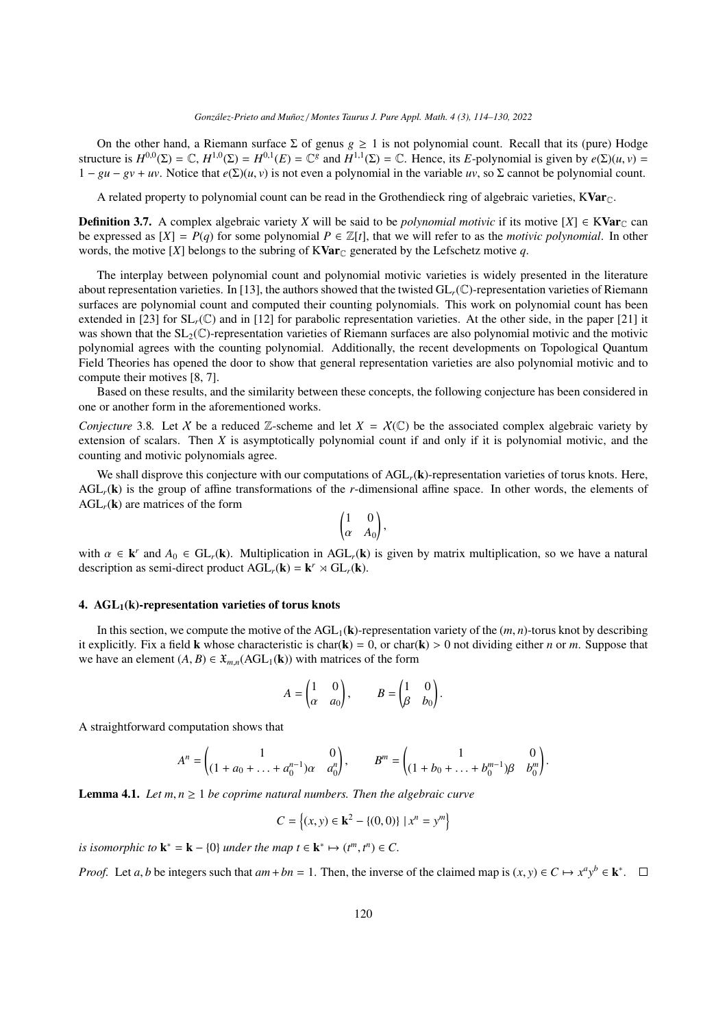On the other hand, a Riemann surface Σ of genus *g* ≥ 1 is not polynomial count. Recall that its (pure) Hodge structure is  $H^{0,0}(\Sigma) = \mathbb{C}$ ,  $H^{1,0}(\Sigma) = H^{0,1}(E) = \mathbb{C}^g$  and  $H^{1,1}(\Sigma) = \mathbb{C}$ . Hence, its *E*-polynomial is given by  $e(\Sigma)(u, v) =$ <br> $1 - gu - gy + uv$ . Notice that  $e(\Sigma)(u, v)$  is not even a polynomial in the variable *uv*, so  $1 - gu - gv + uv$ . Notice that  $e(\Sigma)(u, v)$  is not even a polynomial in the variable *uv*, so  $\Sigma$  cannot be polynomial count.

A related property to polynomial count can be read in the Grothendieck ring of algebraic varieties,  $KVar_{\mathbb{C}}$ .

**Definition 3.7.** A complex algebraic variety *X* will be said to be *polynomial motivic* if its motive  $[X] \in \mathbf{KVar}_{\mathbb{C}}$  can be expressed as  $[X] = P(q)$  for some polynomial  $P \in \mathbb{Z}[t]$ , that we will refer to as the *motivic polynomial*. In other words, the motive [X] belongs to the subring of KVar<sub>C</sub> generated by the Lefschetz motive q.

The interplay between polynomial count and polynomial motivic varieties is widely presented in the literature about representation varieties. In [\[13\]](#page-16-14), the authors showed that the twisted GL*r*(C)-representation varieties of Riemann surfaces are polynomial count and computed their counting polynomials. This work on polynomial count has been extended in [\[23\]](#page-16-15) for  $SL_r(\mathbb{C})$  and in [\[12\]](#page-16-22) for parabolic representation varieties. At the other side, in the paper [\[21\]](#page-16-9) it was shown that the  $SL_2(\mathbb{C})$ -representation varieties of Riemann surfaces are also polynomial motivic and the motivic polynomial agrees with the counting polynomial. Additionally, the recent developments on Topological Quantum Field Theories has opened the door to show that general representation varieties are also polynomial motivic and to compute their motives [\[8,](#page-16-12) [7\]](#page-16-13).

Based on these results, and the similarity between these concepts, the following conjecture has been considered in one or another form in the aforementioned works.

<span id="page-6-1"></span>*Conjecture* 3.8. Let X be a reduced Z-scheme and let  $X = X(\mathbb{C})$  be the associated complex algebraic variety by extension of scalars. Then *X* is asymptotically polynomial count if and only if it is polynomial motivic, and the counting and motivic polynomials agree.

We shall disprove this conjecture with our computations of AGL<sub>r</sub>(k)-representation varieties of torus knots. Here, AGL*r*(k) is the group of affine transformations of the *r*-dimensional affine space. In other words, the elements of  $AGL_r(\mathbf{k})$  are matrices of the form

$$
\begin{pmatrix} 1 & 0 \\ \alpha & A_0 \end{pmatrix},
$$

with  $\alpha \in \mathbf{k}^r$  and  $A_0 \in GL_r(\mathbf{k})$ . Multiplication in AGL<sub>r</sub>( $\mathbf{k}$ ) is given by matrix multiplication, so we have a natural description as semi-direct product AGL ( $\mathbf{k}$ ) =  $\mathbf{k}^r \rtimes GL_r(\mathbf{k})$ description as semi-direct product  $AGL_r(\mathbf{k}) = \mathbf{k}^r \rtimes GL_r(\mathbf{k})$ .

#### <span id="page-6-2"></span>4.  $AGL<sub>1</sub>(k)$ -representation varieties of torus knots

In this section, we compute the motive of the  $AGL_1(k)$ -representation variety of the  $(m, n)$ -torus knot by describing it explicitly. Fix a field **k** whose characteristic is char( $\bf{k}$ ) = 0, or char( $\bf{k}$ ) > 0 not dividing either *n* or *m*. Suppose that we have an element  $(A, B) \in \mathfrak{X}_{m,n}(AGL_1(k))$  with matrices of the form

$$
A = \begin{pmatrix} 1 & 0 \\ \alpha & a_0 \end{pmatrix}, \qquad B = \begin{pmatrix} 1 & 0 \\ \beta & b_0 \end{pmatrix}.
$$

A straightforward computation shows that

$$
A^{n} = \begin{pmatrix} 1 & 0 \\ (1 + a_0 + \dots + a_0^{n-1})\alpha & a_0^{n} \end{pmatrix}, \qquad B^{m} = \begin{pmatrix} 1 & 0 \\ (1 + b_0 + \dots + b_0^{m-1})\beta & b_0^{m} \end{pmatrix}.
$$

<span id="page-6-0"></span>**Lemma 4.1.** *Let*  $m, n \geq 1$  *be coprime natural numbers. Then the algebraic curve* 

 $C = \{(x, y) \in \mathbf{k}^2 - \{(0, 0)\} \mid x^n = y^m\}$ 

*is isomorphic to*  $\mathbf{k}^* = \mathbf{k} - \{0\}$  *under the map*  $t \in \mathbf{k}^* \mapsto (t^m, t^n) \in C$ .

*Proof.* Let *a*, *b* be integers such that  $am + bn = 1$ . Then, the inverse of the claimed map is  $(x, y) \in C \mapsto x^a y^b \in \mathbf{k}^*$ .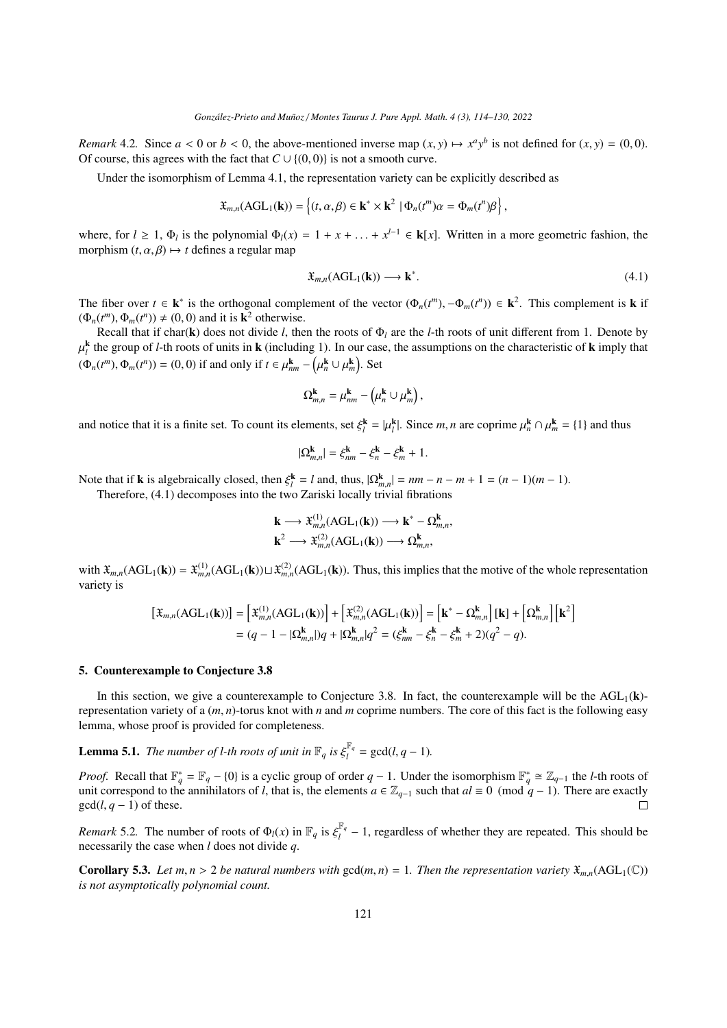*Remark* 4.2*.* Since  $a < 0$  or  $b < 0$ , the above-mentioned inverse map  $(x, y) \mapsto x^a y^b$  is not defined for  $(x, y) = (0, 0)$ . Of course, this agrees with the fact that  $C \cup \{(0, 0)\}\$ is not a smooth curve.

Under the isomorphism of Lemma [4.1,](#page-6-0) the representation variety can be explicitly described as

$$
\mathfrak{X}_{m,n}(\text{AGL}_1(\mathbf{k})) = \left\{ (t,\alpha,\beta) \in \mathbf{k}^* \times \mathbf{k}^2 \mid \Phi_n(t^m)\alpha = \Phi_m(t^n)\beta \right\},\
$$

where, for  $l \ge 1$ ,  $\Phi_l$  is the polynomial  $\Phi_l(x) = 1 + x + \ldots + x^{l-1} \in \mathbf{k}[x]$ . Written in a more geometric fashion, the morphism  $(t, \alpha, \beta) \mapsto t$  defines a regular man morphism  $(t, \alpha, \beta) \mapsto t$  defines a regular map

<span id="page-7-0"></span>
$$
\mathfrak{X}_{m,n}(\text{AGL}_1(\mathbf{k})) \longrightarrow \mathbf{k}^*.
$$
\n(4.1)

The fiber over  $t \in \mathbf{k}^*$  is the orthogonal complement of the vector  $(\Phi_n(t^m), -\Phi_m(t^n)) \in \mathbf{k}^2$ . This complement is **k** if  $(\Phi_n(t^m), \Phi_n(t^n)) \neq (0, 0)$  and it is  $\mathbf{k}^2$  otherwise  $(\Phi_n(t^m), \Phi_m(t^n)) \neq (0, 0)$  and it is  $\mathbf{k}^2$  otherwise.<br>
Recall that if char(k) does not divide *l* the

Recall that if char(k) does not divide *l*, then the roots of  $\Phi_l$  are the *l*-th roots of unit different from 1. Denote by  $(\Phi_n(t^m), \Phi_m(t^n)) = (0, 0)$  if and only if  $t \in \mu_{nm}^k$  –  $(\Phi_n(t^m), \Phi_m(t^n))$  $\frac{k}{l}$  the group of *l*-th roots of units in **k** (including 1). In our case, the assumptions on the characteristic of **k** imply that  $\ddot{ }$  $\binom{\mathbf{k}}{n} \cup \mu_m^{\mathbf{k}}$ . Set

$$
\Omega_{m,n}^{\mathbf{k}} = \mu_{nm}^{\mathbf{k}} - \left(\mu_n^{\mathbf{k}} \cup \mu_m^{\mathbf{k}}\right),
$$

and notice that it is a finite set. To count its elements, set  $\xi_l^k = |\mu_l^k|$ . Since *m*, *n* are coprime  $\mu_n^k \cap \mu_m^k = \{1\}$  and thus

$$
|\Omega_{m,n}^{\mathbf{k}}| = \xi_{nm}^{\mathbf{k}} - \xi_n^{\mathbf{k}} - \xi_m^{\mathbf{k}} + 1.
$$

Note that if **k** is algebraically closed, then  $\xi_l^k = l$  and, thus,  $|\Omega_{m,n}^k| = nm - n - m + 1 = (n-1)(m-1)$ .<br>Therefore (4.1) decomposes into the two Zariski locally trivial fibrations

Therefore, [\(4.1\)](#page-7-0) decomposes into the two Zariski locally trivial fibrations

$$
\mathbf{k} \longrightarrow \mathfrak{X}_{m,n}^{(1)}(\text{AGL}_1(\mathbf{k})) \longrightarrow \mathbf{k}^* - \Omega_{m,n}^{\mathbf{k}},
$$
  

$$
\mathbf{k}^2 \longrightarrow \mathfrak{X}_{m,n}^{(2)}(\text{AGL}_1(\mathbf{k})) \longrightarrow \Omega_{m,n}^{\mathbf{k}},
$$

with  $\mathfrak{X}_{m,n}(\text{AGL}_1(\mathbf{k})) = \mathfrak{X}_{m,n}^{(1)}(\text{AGL}_1(\mathbf{k})) \sqcup \mathfrak{X}_{m,n}^{(2)}(\text{AGL}_1(\mathbf{k}))$ . Thus, this implies that the motive of the whole representation variety is

$$
\begin{aligned} \left[\mathfrak{X}_{m,n}(\text{AGL}_1(\mathbf{k}))\right] &= \left[\mathfrak{X}_{m,n}^{(1)}(\text{AGL}_1(\mathbf{k}))\right] + \left[\mathfrak{X}_{m,n}^{(2)}(\text{AGL}_1(\mathbf{k}))\right] = \left[\mathbf{k}^* - \Omega_{m,n}^{\mathbf{k}}\right] \left[\mathbf{k}\right] + \left[\Omega_{m,n}^{\mathbf{k}}\right] \left[\mathbf{k}^2\right] \\ &= (q - 1 - |\Omega_{m,n}^{\mathbf{k}}|)q + |\Omega_{m,n}^{\mathbf{k}}|q^2 = (\xi_{nm}^{\mathbf{k}} - \xi_n^{\mathbf{k}} - \xi_m^{\mathbf{k}} + 2)(q^2 - q). \end{aligned}
$$

#### 5. Counterexample to Conjecture [3.8](#page-6-1)

In this section, we give a counterexample to Conjecture [3.8.](#page-6-1) In fact, the counterexample will be the  $AGL_1(k)$ representation variety of a (*m*, *<sup>n</sup>*)-torus knot with *<sup>n</sup>* and *<sup>m</sup>* coprime numbers. The core of this fact is the following easy lemma, whose proof is provided for completeness.

**Lemma 5.1.** *The number of l-th roots of unit in*  $\mathbb{F}_q$  *is*  $\xi_l^{\mathbb{F}_q}$  $l_l^{\text{F}_q} = \gcd(l, q-1)$ .

*Proof.* Recall that  $\mathbb{F}_q^* = \mathbb{F}_q - \{0\}$  is a cyclic group of order  $q - 1$ . Under the isomorphism  $\mathbb{F}_q^* \cong \mathbb{Z}_{q-1}$  the *l*-th roots of unit correspond to the annihilators of *l*, that is, the elements  $a \in \mathbb{Z}_{q-1}$  such that  $al \equiv 0 \pmod{q-1}$ . There are exactly  $gcd(l, q - 1)$  of these.  $\Box$ 

*Remark* 5.2. The number of roots of  $\Phi_l(x)$  in  $\mathbb{F}_q$  is  $\xi_l^{\mathbb{F}_q}$  necessarily the case when *l* does not divide *a*  $\frac{u}{l}$ <sup> $\frac{d}{l}$ </sup> − 1, regardless of whether they are repeated. This should be necessarily the case when *l* does not divide *q*.

<span id="page-7-1"></span>**Corollary 5.3.** Let  $m, n > 2$  be natural numbers with  $gcd(m, n) = 1$ . Then the representation variety  $\mathfrak{X}_{m,n}(AGL_1(\mathbb{C}))$ *is not asymptotically polynomial count.*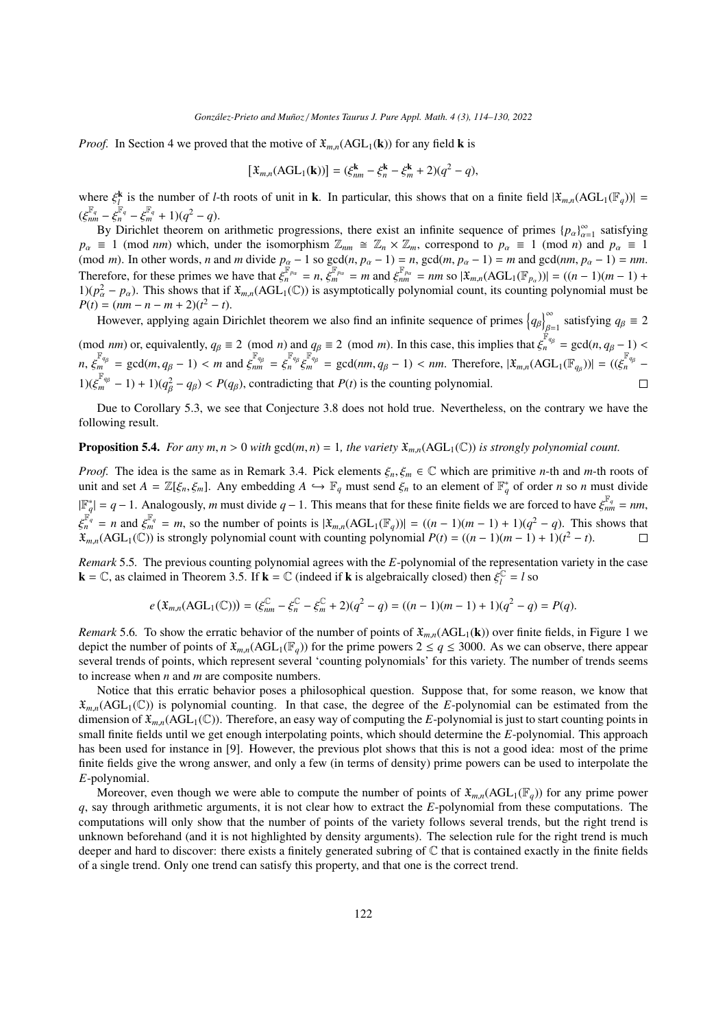*Proof.* In Section [4](#page-6-2) we proved that the motive of  $\mathfrak{X}_{m,n}(\text{AGL}_1(\mathbf{k}))$  for any field **k** is

$$
[\mathfrak{X}_{m,n}(\text{AGL}_1(\mathbf{k}))] = (\xi_{nm}^{\mathbf{k}} - \xi_n^{\mathbf{k}} - \xi_m^{\mathbf{k}} + 2)(q^2 - q),
$$

where  $\xi_k^k$  is the number of *l*-th roots of unit in **k**. In particular, this shows that on a finite field  $|\mathfrak{X}_{m,n}(\text{AGL}_1(\mathbb{F}_q))|$  =  $(\xi_{nm}^{\mathbb{F}_q} - \xi_n^{\mathbb{F}_q} - \xi_m^{\mathbb{F}_q} + 1)(q^2 - q).$ <br>By Dirichlet theorem on

By Dirichlet theorem on arithmetic progressions, there exist an infinite sequence of primes  ${p_\alpha}_{\alpha=1}^{\infty}$  astisfying  $\alpha=1$  (mod nm) which under the isomorphism  $\mathbb{Z} \cong \mathbb{Z} \times \mathbb{Z}$  correspond to  $p_1 = 1$  (mod n) *p*<sub>α</sub> ≡ 1 (mod *nm*) which, under the isomorphism  $\mathbb{Z}_{nm} \cong \mathbb{Z}_n \times \mathbb{Z}_m$ , correspond to  $p_\alpha \equiv 1 \pmod{n}$  and  $p_\alpha \equiv 1 \pmod{n}$ .<br>(mod *m*) In other words *n* and *m* divide *n* = 189.000(*n n* = 1) = *n* and(*m n* = (mod *m*). In other words, *n* and *m* divide  $p_\alpha - 1$  so gcd $(n, p_\alpha - 1) = n$ , gcd $(m, p_\alpha - 1) = m$  and gcd $(nm, p_\alpha - 1) = nm$ .<br>Therefore for these primes we have that  $e^{\mathbb{F}_{pq}} = n$  and  $e^{\mathbb{F}_{pq}} = nm$  and  $e^{\mathbb{F}_{pq}} = (ACU(\mathbb{F})) = ((n-1)($ Therefore, for these primes we have that  $\xi_n^{\mathbb{F}_{p\alpha}} = n$ ,  $\xi_m^{\mathbb{F}_{p\alpha}} = m$  and  $\xi_{nm}^{\mathbb{F}_{p\alpha}} = nm$  so  $|\mathfrak{X}_{m,n}(\text{AGL}_1(\mathbb{F}_{p\alpha}))| = ((n-1)(m-1) + 1)(n^2 - n)$ . This shows that if  $\mathfrak{X} = (\text{AGL}_1(\mathbb{C}))$  is asymptotically  $1$ )( $p_a^2 - p_a$ ). This shows that if  $\mathfrak{X}_{m,n}(\text{AGL}_1(\mathbb{C}))$  is asymptotically polynomial count, its counting polynomial must be  $P(t) = (nm - n - m + 2)(t^2 - t)$  $P(t) = (nm - n - m + 2)(t^2 - t).$ 

However, applying again Dirichlet theorem we also find an infinite sequence of primes  $\left\{q_\beta\right\}_{\beta=1}^\infty$  satisfying  $q_\beta \equiv 2$ β=1<br>F (mod *nm*) or, equivalently,  $q_\beta \equiv 2 \pmod{n}$  and  $q_\beta \equiv 2 \pmod{m}$ . In this case, this implies that  $\xi_n^{\mathbb{F}_{q_\beta}} = \gcd(n, q_\beta - 1) < \mathbb{F}_{q_\beta}$  $m, \, \xi_m^{\mathbb{F}_{q_\beta}} = \gcd(m, q_\beta - 1) < m \text{ and } \xi_{nm}^{\mathbb{F}_{q_\beta}} = \xi_n^{\mathbb{F}_{q_\beta}} \xi$  $\mathbb{F}_{q\beta}^{\mathbb{F}_{q\beta}} = \gcd(nm, q_{\beta} - 1) < nm$ . Therefore,  $|\mathfrak{X}_{m,n}(\text{AGL}_1(\mathbb{F}_{q_{\beta}}))| = ((\xi_n^{\mathbb{F}_{q_{\beta}}})$  $1)(\xi_m^{\mathbb{F}_{q_\beta}}-1)+1)(q_\beta^2$  $\Box$  $\frac{2}{\beta} - q_{\beta}$ ) < *P*( $q_{\beta}$ ), contradicting that *P*(*t*) is the counting polynomial.

Due to Corollary [5.3,](#page-7-1) we see that Conjecture [3.8](#page-6-1) does not hold true. Nevertheless, on the contrary we have the following result.

# **Proposition 5.4.** *For any*  $m, n > 0$  *with*  $gcd(m, n) = 1$ *, the variety*  $\mathfrak{X}_{m,n}(AGL_1(\mathbb{C}))$  *is strongly polynomial count.*

*Proof.* The idea is the same as in Remark [3.4.](#page-5-1) Pick elements  $\xi_n, \xi_m \in \mathbb{C}$  which are primitive *n*-th and *m*-th roots of unit and set  $A = \mathbb{Z}[\xi_n, \xi_m]$ . Any embedding  $A \hookrightarrow \mathbb{F}_q$  must send  $\xi_n$  to an element of  $\mathbb{F}_q^*$  of order *n* so *n* must divide  $|\mathbb{F}_q^*| = q - 1$ . Analogously, *m* must divide  $q - 1$ . This means that for these finite fields we are forced to have  $\xi_{nm}^{\mathbb{F}_q} = nm$ , ξ  $F_q^i = n$  and  $\xi_m^{\mathbb{F}_q} = m$ , so the number of points is  $|\mathfrak{X}_{m,n}(\text{AGL}_1(\mathbb{F}_q))| = ((n-1)(m-1) + 1)(q^2 - q)$ . This shows that  $\mathfrak{X}_{m,n}(\text{AGL}_1(\mathbb{F}_q))$  is strongly polynomial count with counting polynomial  $P(t) - ((n-1)(m-1) +$  $\mathfrak{X}_{m,n}(\text{AGL}_1(\mathbb{C}))$  is strongly polynomial count with counting polynomial  $P(t) = ((n-1)(m-1) + 1)(t^2 - t)$ .

*Remark* 5.5*.* The previous counting polynomial agrees with the *E*-polynomial of the representation variety in the case **k** =  $\mathbb{C}$ , as claimed in Theorem [3.5.](#page-5-2) If **k** =  $\mathbb{C}$  (indeed if **k** is algebraically closed) then  $\xi_l^{\mathbb{C}}$  $l_l^{\text{\tiny (C)}} = l$  so

$$
e\left(\mathfrak{X}_{m,n}(\text{AGL}_1(\mathbb{C}))\right)=(\xi_{nm}^{\mathbb{C}}-\xi_n^{\mathbb{C}}-\xi_m^{\mathbb{C}}+2)(q^2-q)=((n-1)(m-1)+1)(q^2-q)=P(q).
$$

*Remark* 5.6. To show the erratic behavior of the number of points of  $\mathfrak{X}_{m,n}(\text{AGL}_1(\mathbf{k}))$  over finite fields, in Figure [1](#page-9-0) we depict the number of points of  $\mathfrak{X}_{m,n}(\text{AGL}_1(\mathbb{F}_q))$  for the prime powers  $2 \leq q \leq 3000$ . As we can observe, there appear several trends of points, which represent several 'counting polynomials' for this variety. The number of trends seems to increase when *n* and *m* are composite numbers.

Notice that this erratic behavior poses a philosophical question. Suppose that, for some reason, we know that  $\mathfrak{X}_{m,n}(\text{AGL}_1(\mathbb{C}))$  is polynomial counting. In that case, the degree of the *E*-polynomial can be estimated from the dimension of  $\mathfrak{X}_{m,n}(\text{AGL}_1(\mathbb{C}))$ . Therefore, an easy way of computing the *E*-polynomial is just to start counting points in small finite fields until we get enough interpolating points, which should determine the *E*-polynomial. This approach has been used for instance in [\[9\]](#page-16-23). However, the previous plot shows that this is not a good idea: most of the prime finite fields give the wrong answer, and only a few (in terms of density) prime powers can be used to interpolate the *E*-polynomial.

Moreover, even though we were able to compute the number of points of  $\mathfrak{X}_{m,n}(\text{AGL}_1(\mathbb{F}_q))$  for any prime power *q*, say through arithmetic arguments, it is not clear how to extract the *E*-polynomial from these computations. The computations will only show that the number of points of the variety follows several trends, but the right trend is unknown beforehand (and it is not highlighted by density arguments). The selection rule for the right trend is much deeper and hard to discover: there exists a finitely generated subring of  $\mathbb C$  that is contained exactly in the finite fields of a single trend. Only one trend can satisfy this property, and that one is the correct trend.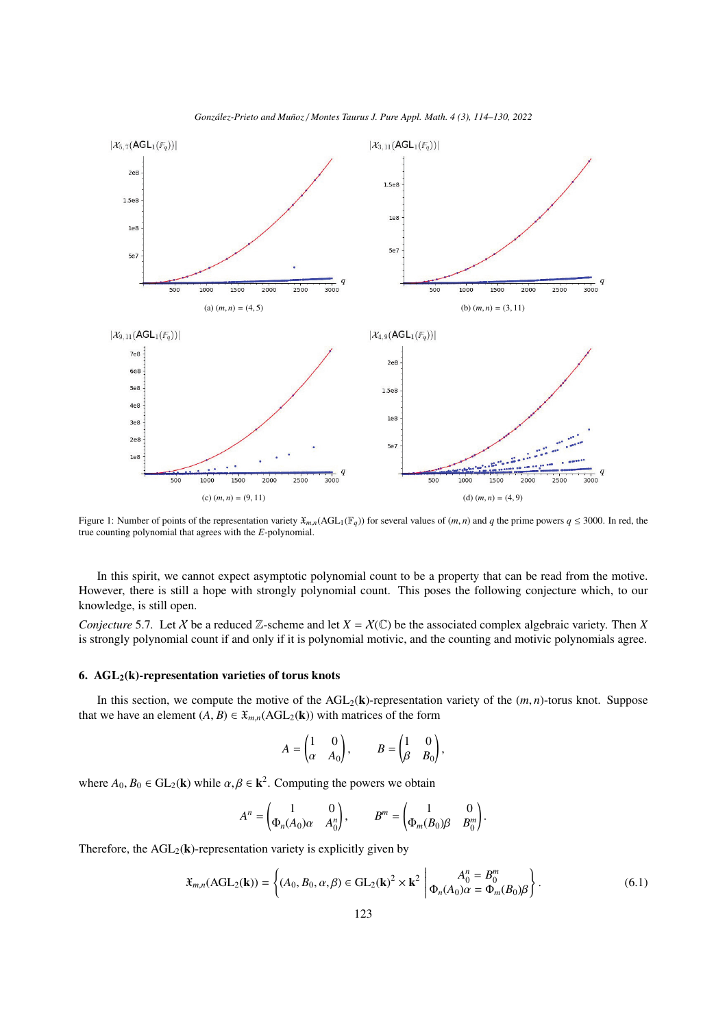<span id="page-9-0"></span>

*Gonz´alez-Prieto and Mu˜noz* / *Montes Taurus J. Pure Appl. Math. 4 (3), 114[–130,](#page-16-0) 2022*

Figure 1: Number of points of the representation variety  $\mathfrak{X}_{m,n}(\text{AGL}_1(\mathbb{F}_q))$  for several values of  $(m, n)$  and *q* the prime powers  $q \leq 3000$ . In red, the true counting polynomial that agrees with the *E*-polynomial.

In this spirit, we cannot expect asymptotic polynomial count to be a property that can be read from the motive. However, there is still a hope with strongly polynomial count. This poses the following conjecture which, to our knowledge, is still open.

*Conjecture* 5.7. Let *X* be a reduced Z-scheme and let  $X = X(\mathbb{C})$  be the associated complex algebraic variety. Then *X* is strongly polynomial count if and only if it is polynomial motivic, and the counting and motivic polynomials agree.

# 6.  $AGL<sub>2</sub>(k)$ -representation varieties of torus knots

In this section, we compute the motive of the  $AGL_2(k)$ -representation variety of the  $(m, n)$ -torus knot. Suppose that we have an element  $(A, B) \in \mathfrak{X}_{mn}(AGL_2(k))$  with matrices of the form

$$
A = \begin{pmatrix} 1 & 0 \\ \alpha & A_0 \end{pmatrix}, \qquad B = \begin{pmatrix} 1 & 0 \\ \beta & B_0 \end{pmatrix},
$$

where  $A_0, B_0 \in GL_2(\mathbf{k})$  while  $\alpha, \beta \in \mathbf{k}^2$ . Computing the powers we obtain

$$
A^n = \begin{pmatrix} 1 & 0 \\ \Phi_n(A_0)\alpha & A_0^n \end{pmatrix}, \qquad B^m = \begin{pmatrix} 1 & 0 \\ \Phi_m(B_0)\beta & B_0^m \end{pmatrix}
$$

Therefore, the  $AGL_2(\mathbf{k})$ -representation variety is explicitly given by

<span id="page-9-1"></span>
$$
\mathfrak{X}_{m,n}(\text{AGL}_2(\mathbf{k})) = \left\{ (A_0, B_0, \alpha, \beta) \in \text{GL}_2(\mathbf{k})^2 \times \mathbf{k}^2 \middle| \begin{matrix} A_0^n = B_0^m \\ \Phi_n(A_0) \alpha = \Phi_m(B_0) \beta \end{matrix} \right\}.
$$
\n(6.1)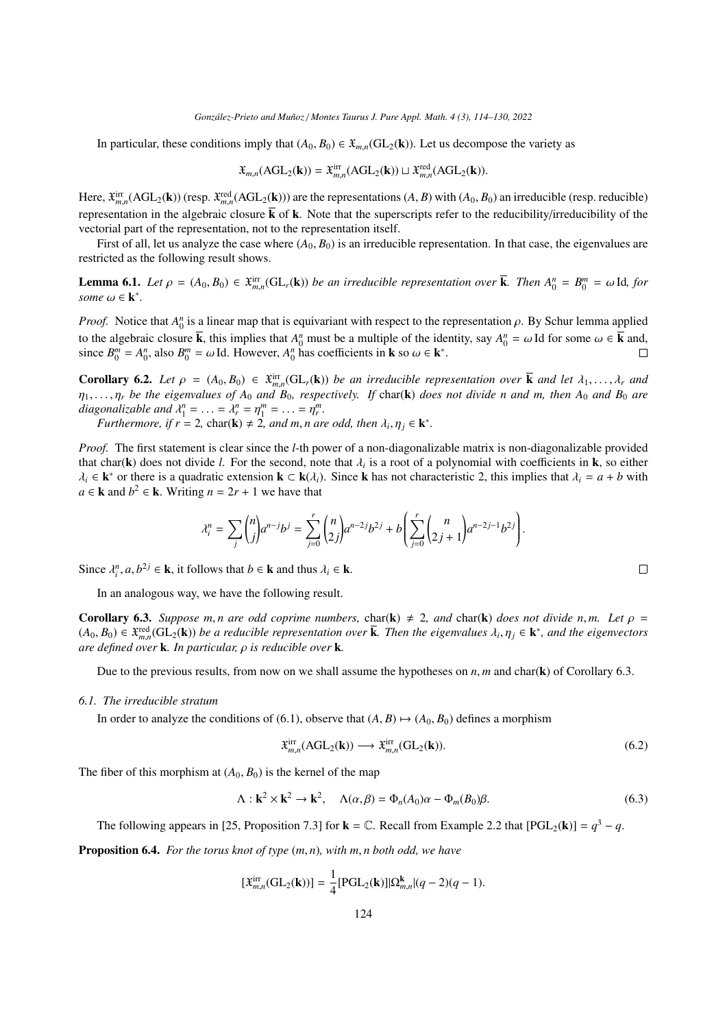In particular, these conditions imply that  $(A_0, B_0) \in \mathfrak{X}_{mn}(\text{GL}_2(\mathbf{k}))$ . Let us decompose the variety as

$$
\mathfrak{X}_{m,n}(\text{AGL}_2(\mathbf{k})) = \mathfrak{X}_{m,n}^{\text{irr}}(\text{AGL}_2(\mathbf{k})) \sqcup \mathfrak{X}_{m,n}^{\text{red}}(\text{AGL}_2(\mathbf{k})).
$$

Here,  $\mathfrak{X}_{m,n}^{\text{irr}}(AGL_2(\mathbf{k}))$  (resp.  $\mathfrak{X}_{m,n}^{\text{red}}(AGL_2(\mathbf{k}))$ ) are the representations  $(A, B)$  with  $(A_0, B_0)$  an irreducible (resp. reducible)<br>managementation in the algebraic algebra. Letther that the presentat representation in the algebraic closure  $\overline{k}$  of k. Note that the superscripts refer to the reducibility/irreducibility of the vectorial part of the representation, not to the representation itself.

First of all, let us analyze the case where  $(A_0, B_0)$  is an irreducible representation. In that case, the eigenvalues are restricted as the following result shows.

**Lemma 6.1.** Let  $\rho = (A_0, B_0) \in \mathfrak{X}_{m,n}^{\text{irr}}(\text{GL}_r(\mathbf{k}))$  *be an irreducible representation over*  $\mathbf{\overline{k}}$ *. Then*  $A_0^n = B_0^m = \omega \text{ Id}$ *, for*  $\text{sum } \omega \in \mathbf{k}^*$  $some \omega \in \mathbf{k}^*$ .

*Proof.* Notice that  $A_0^n$  is a linear map that is equivariant with respect to the representation  $\rho$ . By Schur lemma applied to the algebraic algebra  $\overline{L}$  and  $\overline{L}$  and  $\overline{L}$  and  $\overline{L}$  and  $\overline{L}$  and  $\over$ to the algebraic closure  $\overline{k}$ , this implies that  $A_0^n$  must be a multiple of the identity, say  $A_0^n = \omega$  Id for some  $\omega \in \overline{k}$  and, since  $B^m = A^n$  also  $B^m = \omega$  Id However,  $A^n$  has coefficients in  $\bf{k}$  so  $\omega \in \math$ since  $B_0^m = A_0^n$ , also  $B_0^m = \omega$  Id. However,  $A_0^n$  has coefficients in **k** so  $\omega \in \mathbf{k}^*$ .

<span id="page-10-3"></span>**Corollary 6.2.** Let  $\rho = (A_0, B_0) \in \mathfrak{X}_{m,n}^{\text{irr}}(\mathrm{GL}_r(\mathbf{k}))$  be an irreducible representation over  $\overline{\mathbf{k}}$  and let  $\lambda_1, \ldots, \lambda_r$  and  $\mathbf{R}_r$  are  $\mathbf{R}_r$  and  $\mathbf{R}_r$  *respectively. If* char(**k**) does not div **coronary 0.2.** Let  $p = (A_0, B_0) \in \mathcal{X}_{m,n}(\mathbf{GL}_r(\mathbf{k}))$  be an irreductive representation over **K** and let  $A_1, \ldots, A_r$  and  $\eta_1, \ldots, \eta_r$  be the eigenvalues of  $A_0$  and  $B_0$ , respectively. If char(**k**) does not divide *diagonalizable and*  $\lambda_1^n = \ldots = \lambda_r^n = \eta_1^m = \ldots = \eta_r^m$ .<br>*Eurthermore if r* = 2, char(k) + 2, and m n are

*Furthermore, if*  $r = 2$ , char(**k**)  $\neq 2$ , and *m*, *n* are odd, then  $\lambda_i, \eta_j \in \mathbf{k}^*$ .

*Proof.* The first statement is clear since the *l*-th power of a non-diagonalizable matrix is non-diagonalizable provided that char(k) does not divide *l*. For the second, note that  $\lambda_i$  is a root of a polynomial with coefficients in k, so either  $\lambda_i \in \mathbf{k}^*$  or there is a quadratic extension  $\mathbf{k} \in \mathbf{k}(\lambda)$ . Since k has not characteris  $\lambda_i \in \mathbf{k}^*$  or there is a quadratic extension  $\mathbf{k} \subset \mathbf{k}(\lambda_i)$ . Since **k** has not characteristic 2, this implies that  $\lambda_i = a + b$  with  $a \in \mathbf{k}$  and  $b^2 \in \mathbf{k}$ . Writing  $n - 2r + 1$  we have that *a* ∈ **k** and *b*<sup>2</sup> ∈ **k**. Writing *n* = 2*r* + 1 we have that

$$
\lambda_i^n = \sum_j \binom{n}{j} a^{n-j} b^j = \sum_{j=0}^r \binom{n}{2j} a^{n-2j} b^{2j} + b \left( \sum_{j=0}^r \binom{n}{2j+1} a^{n-2j-1} b^{2j} \right).
$$

Since  $\lambda_i^n$ ,  $a, b^{2j} \in \mathbf{k}$ , it follows that  $b \in \mathbf{k}$  and thus  $\lambda_i \in \mathbf{k}$ .

In an analogous way, we have the following result.

<span id="page-10-0"></span>**Corollary 6.3.** *Suppose m, n are odd coprime numbers,* char(k)  $\neq$  2, and char(k) *does not divide n,m. Let*  $\rho$  =  $(A_0, B_0)$  ∈  $\mathfrak{X}_{m,n}^{\text{red}}(\text{GL}_2(\mathbf{k}))$  *be a reducible representation over* **k***. Then the eigenvalues*  $\lambda_i, \eta_j \in \mathbf{k}^*$ *, and the eigenvectors* are defined over **k** *ln particular*  $\alpha$  is reducible over **k** *are defined over* <sup>k</sup>*. In particular,* ρ *is reducible over* <sup>k</sup>*.*

Due to the previous results, from now on we shall assume the hypotheses on  $n, m$  and char( $\bf{k}$ ) of Corollary [6.3.](#page-10-0)

# <span id="page-10-5"></span>*6.1. The irreducible stratum*

In order to analyze the conditions of [\(6.1\)](#page-9-1), observe that  $(A, B) \mapsto (A_0, B_0)$  defines a morphism

<span id="page-10-2"></span>
$$
\mathfrak{X}_{m,n}^{\text{irr}}(\text{AGL}_2(\mathbf{k})) \longrightarrow \mathfrak{X}_{m,n}^{\text{irr}}(\text{GL}_2(\mathbf{k})).\tag{6.2}
$$

The fiber of this morphism at  $(A_0, B_0)$  is the kernel of the map

<span id="page-10-1"></span>
$$
\Lambda: \mathbf{k}^2 \times \mathbf{k}^2 \to \mathbf{k}^2, \quad \Lambda(\alpha, \beta) = \Phi_n(A_0)\alpha - \Phi_m(B_0)\beta. \tag{6.3}
$$

The following appears in [\[25,](#page-16-4) Proposition 7.3] for **k** =  $\mathbb{C}$ . Recall from Example [2.2](#page-3-1) that  $[PGL_2(\mathbf{k})] = q^3 - q$ .

<span id="page-10-4"></span>Proposition 6.4. *For the torus knot of type* (*m*, *<sup>n</sup>*)*, with m*, *n both odd, we have*

$$
[\mathfrak{X}_{m,n}^{\text{irr}}(\text{GL}_2(\mathbf{k}))] = \frac{1}{4} [\text{PGL}_2(\mathbf{k})] |\Omega_{m,n}^{\mathbf{k}}| (q-2)(q-1).
$$

 $\Box$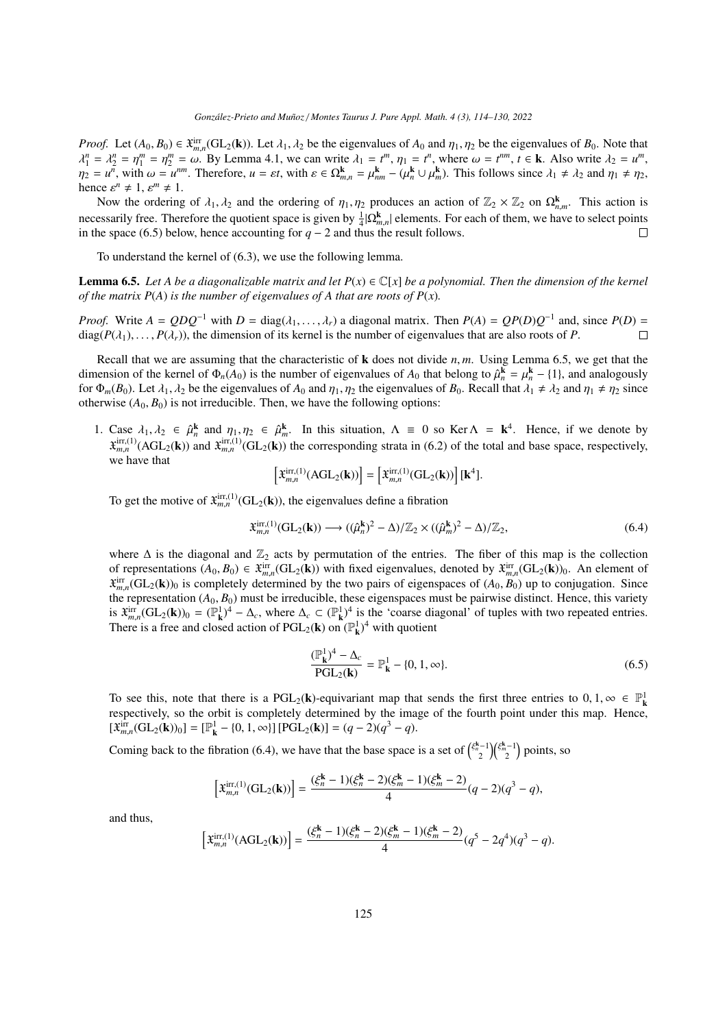*Proof.* Let  $(A_0, B_0) \in \mathfrak{X}_{m,n}^{\text{irr}}(\mathrm{GL}_2(\mathbf{k}))$ . Let  $\lambda_1, \lambda_2$  be the eigenvalues of  $A_0$  and  $\eta_1, \eta_2$  be the eigenvalues of  $B_0$ . Note that  $\lambda^n - \lambda^n - \lambda^m = \lambda^n$ . By Lemma 4.1, we can write  $\lambda_1 - t^m$ ,  $n_2 - t^m$ *m*,*n* λ  $n = \lambda_2^n = \eta_1^m = \eta_2^m = \omega$ . By Lemma [4.1,](#page-6-0) we can write  $\lambda_1 = t^m$ ,  $\eta_1 = t^n$ , where  $\omega = t^{nm}$ ,  $t \in \mathbf{k}$ . Also write  $\lambda_2 = u^m$ ,  $\lambda_3 = u^m$  with  $\omega = t^{nm}$ . Therefore  $u = ct$  with  $s \in \Omega^k = u^k = (u^k + u^k)$ . This follows since  $\eta_2 = u^{\tilde{n}}$ , with  $\omega = u^{nm}$ . Therefore,  $u = \varepsilon t$ , with  $\varepsilon \in \Omega_{m,n}^{\mathbf{k}} = \mu_{nm}^{\mathbf{k}} - (\mu_n^{\mathbf{k}} \cup \mu_m^{\mathbf{k}})$ . This follows since  $\lambda_1 \neq \lambda_2$  and  $\eta_1 \neq \eta_2$ , hence  $\varepsilon^n \neq 1$ ,  $\varepsilon^m \neq 1$ .<br>Now the ordering

Now the ordering of  $\lambda_1, \lambda_2$  and the ordering of  $\eta_1, \eta_2$  produces an action of  $\mathbb{Z}_2 \times \mathbb{Z}_2$  on  $\Omega_{n,m}^k$ . This action is necessarily free. Therefore the quotient space is given by  $\frac{1}{4}|\Omega_{m,n}^{\mathbf{k}}|$  elements. For each of them, we have to select points incressarily free. Therefore the quotient space is given by  $\frac{1}{4} |\mathbf{s} \mathbf{z}_{m,n}|$  elements. For in the space [\(6.5\)](#page-11-0) below, hence accounting for *q* − 2 and thus the result follows.

To understand the kernel of [\(6.3\)](#page-10-1), we use the following lemma.

<span id="page-11-1"></span>**Lemma 6.5.** Let A be a diagonalizable matrix and let  $P(x) \in \mathbb{C}[x]$  be a polynomial. Then the dimension of the kernel *of the matrix P(A) is the number of eigenvalues of A that are roots of P(x).* 

*Proof.* Write  $A = QDQ^{-1}$  with  $D = \text{diag}(\lambda_1, ..., \lambda_r)$  a diagonal matrix. Then  $P(A) = QP(D)Q^{-1}$  and, since  $P(D) = \text{diag}(P(\lambda_1), \ldots, P(\lambda_r))$  the dimension of its kernel is the number of eigenvalues that are also roots of  $P$ diag( $P(\lambda_1), \ldots, P(\lambda_r)$ ), the dimension of its kernel is the number of eigenvalues that are also roots of *P*.  $\Box$ 

Recall that we are assuming that the characteristic of  $\bf{k}$  does not divide  $n, m$ . Using Lemma [6.5,](#page-11-1) we get that the dimension of the kernel of  $\Phi_n(A_0)$  is the number of eigenvalues of  $A_0$  that belong to  $\hat{\mu}_n^k = \mu_n^k - \{1\}$ , and analogously<br>for  $\Phi_n(B_0)$  Let  $\lambda_1$ ,  $\lambda_2$  be the eigenvalues of  $A_0$  and  $n_1$ ,  $n_2$  the eigenvalu for  $\Phi_m(B_0)$ . Let  $\lambda_1, \lambda_2$  be the eigenvalues of  $A_0$  and  $\eta_1, \eta_2$  the eigenvalues of  $B_0$ . Recall that  $\lambda_1 \neq \lambda_2$  and  $\eta_1 \neq \eta_2$  since otherwise  $(A_0, B_0)$  is not irreducible. Then, we have the following options:

1. Case  $\lambda_1, \lambda_2 \in \hat{\mu}_n^k$  and  $\eta_1, \eta_2 \in \hat{\mu}_n^k$ . In this situation,  $\Lambda \equiv 0$  so Ker  $\Lambda = \mathbf{k}^4$ . Hence, if we denote by  $\mathbf{x}^{\text{irr},(1)}$  (ACI) and  $\mathbf{x}^{\text{irr},(1)}$  (GI) the corresponding strate in (6.2) of the  $\mathbf{x}_{m,n}^{\text{irr},(1)}(\text{AGL}_2(\mathbf{k}))$  and  $\mathbf{x}_{m,n}^{\text{irr},(1)}(\text{GL}_2(\mathbf{k}))$  the corresponding strata in [\(6.2\)](#page-10-2) of the total and base space, respectively, we have that

$$
\left[\mathfrak{X}_{m,n}^{\mathrm{irr},(1)}(\mathrm{AGL}_2(\mathbf{k}))\right] = \left[\mathfrak{X}_{m,n}^{\mathrm{irr},(1)}(\mathrm{GL}_2(\mathbf{k}))\right][\mathbf{k}^4].
$$

To get the motive of  $\ddot{\mathbf{x}}_{m,n}^{\text{irr},(1)}(\text{GL}_2(\mathbf{k}))$ , the eigenvalues define a fibration

<span id="page-11-2"></span>
$$
\mathfrak{X}_{m,n}^{\mathrm{irr},(1)}(\mathrm{GL}_2(\mathbf{k})) \longrightarrow ((\hat{\mu}_n^{\mathbf{k}})^2 - \Delta)/\mathbb{Z}_2 \times ((\hat{\mu}_m^{\mathbf{k}})^2 - \Delta)/\mathbb{Z}_2,\tag{6.4}
$$

where  $\Delta$  is the diagonal and  $\mathbb{Z}_2$  acts by permutation of the entries. The fiber of this map is the collection of representations  $(A_0, B_0) \in \mathfrak{X}_{m,n}^{irr}(GL_2(\mathbf{k}))$  with fixed eigenvalues, denoted by  $\mathfrak{X}_{m,n}^{irr}(GL_2(\mathbf{k}))_0$ . An element of  $\mathfrak{X}_{m}^{irr}(GL_2(\mathbf{k}))_0$  is completely determined by the two pairs of eigenspaces of  $(A_0$  $\hat{x}_{m,n}^{\text{irr}}(\text{GL}_2(\mathbf{k}))_0$  is completely determined by the two pairs of eigenspaces of  $(A_0, B_0)$  up to conjugation. Since  $\hat{x}_{m,n}^{\text{irr}}(\text{GL}_2(\mathbf{k}))_0$  is completely determined by the two pairs of eigenspaces of  $(A_0,$ the representation  $(A_0, B_0)$  must be irreducible, these eigenspaces must be pairwise distinct. Hence, this variety is  $\mathcal{X}_{mn}^{irr}(\mathbf{GL}_2(\mathbf{k}))_0 = (\mathbb{P}^1_{\mathbf{k}})^4 - \Delta_c$ , where  $\Delta_c \subset (\mathbb{P}^1_{\mathbf{k}})^4$  is the 'coarse diagonal' of tuples with two repeated entries. There is a free and closed action of PGL<sub>2</sub>(**k**) on  $(\mathbb{P}^1_k)^4$  with quotient

<span id="page-11-0"></span>
$$
\frac{(\mathbb{P}_{\mathbf{k}}^1)^4 - \Delta_c}{\text{PGL}_2(\mathbf{k})} = \mathbb{P}_{\mathbf{k}}^1 - \{0, 1, \infty\}.
$$
\n(6.5)

To see this, note that there is a  $PGL_2(k)$ -equivariant map that sends the first three entries to 0, 1,  $\infty \in \mathbb{P}^1_k$ <br>respectively so the orbit is completely determined by the image of the fourth point under this map. H respectively, so the orbit is completely determined by the image of the fourth point under this map. Hence,  $[\mathfrak{X}_{m,n}^{\text{irr}}(\text{GL}_2(\mathbf{k}))_0] = [\mathbb{P}_{\mathbf{k}}^1 - \{0, 1, \infty\}] [\text{PGL}_2(\mathbf{k})] = (q - 2)(q^3 - q).$ 

Coming back to the fibration [\(6.4\)](#page-11-2), we have that the base space is a set of  $\binom{\xi_n^{k-1}}{2}\binom{\xi_m^{k-1}}{2}$  points, so

$$
\left[\mathfrak{X}_{m,n}^{\mathrm{irr},(1)}(\mathrm{GL}_2(\mathbf{k}))\right] = \frac{(\xi_n^{\mathbf{k}} - 1)(\xi_n^{\mathbf{k}} - 2)(\xi_m^{\mathbf{k}} - 1)(\xi_m^{\mathbf{k}} - 2)}{4}(q - 2)(q^3 - q),
$$

and thus,

$$
\left[\mathfrak{X}_{m,n}^{\mathrm{irr},(1)}(\mathrm{AGL}_2(\mathbf{k}))\right] = \frac{(\xi_n^{\mathbf{k}} - 1)(\xi_n^{\mathbf{k}} - 2)(\xi_m^{\mathbf{k}} - 1)(\xi_m^{\mathbf{k}} - 2)}{4}(q^5 - 2q^4)(q^3 - q).
$$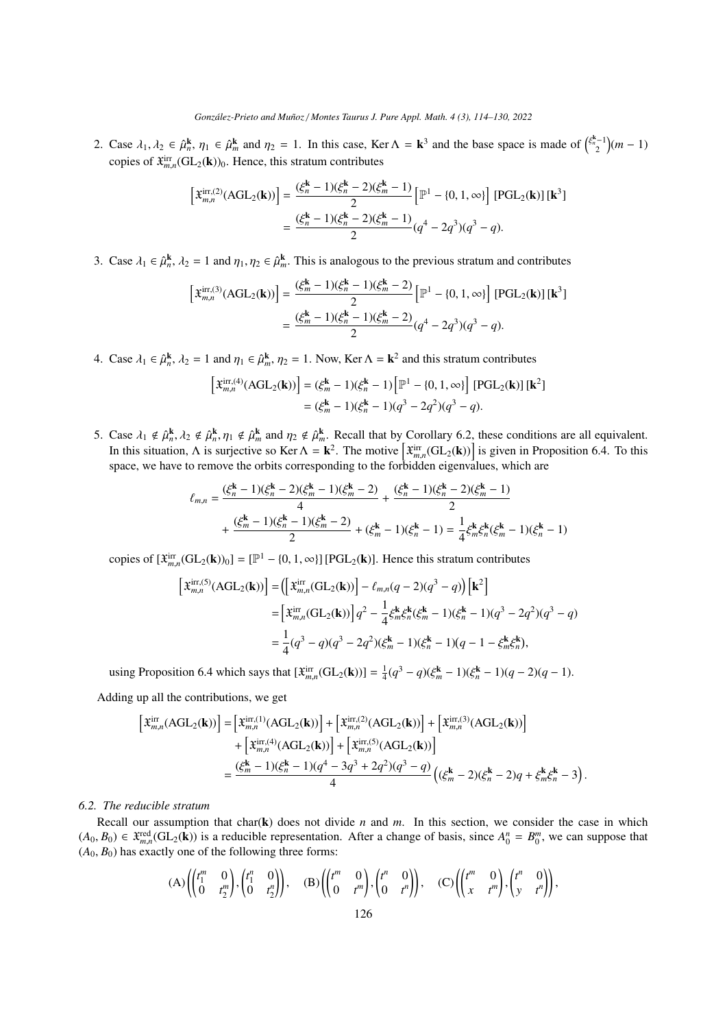2. Case  $\lambda_1, \lambda_2 \in \hat{\mu}_n^k$ ,  $\eta_1 \in \hat{\mu}_n^k$  and  $\eta_2 = 1$ . In this case, Ker  $\Lambda = \mathbf{k}^3$  and the base space is made of  $\binom{\xi_n^{k-1}}{2}(m-1)$ copies of  $\mathfrak{X}_{m,n}^{\text{irr}}(\text{GL}_2(\mathbf{k}))_0$ . Hence, this stratum contributes

$$
\begin{aligned} \left[\mathfrak{X}_{m,n}^{\mathrm{irr},(2)}(\mathrm{AGL}_{2}(\mathbf{k}))\right] &= \frac{(\xi_{n}^{\mathbf{k}}-1)(\xi_{n}^{\mathbf{k}}-2)(\xi_{m}^{\mathbf{k}}-1)}{2} \left[\mathbb{P}^{1} - \{0,1,\infty\}\right] \left[\mathrm{PGL}_{2}(\mathbf{k})\right] [\mathbf{k}^{3}] \\ &= \frac{(\xi_{n}^{\mathbf{k}}-1)(\xi_{n}^{\mathbf{k}}-2)(\xi_{m}^{\mathbf{k}}-1)}{2} (q^{4} - 2q^{3})(q^{3} - q). \end{aligned}
$$

3. Case  $\lambda_1 \in \hat{\mu}_n^k$ ,  $\lambda_2 = 1$  and  $\eta_1, \eta_2 \in \hat{\mu}_m^k$ . This is analogous to the previous stratum and contributes

$$
\begin{aligned} \left[\mathfrak{X}_{m,n}^{\mathrm{irr},(3)}(\mathrm{AGL}_{2}(\mathbf{k}))\right] &= \frac{(\xi_{m}^{k}-1)(\xi_{n}^{k}-1)(\xi_{m}^{k}-2)}{2} \left[\mathbb{P}^{1} - \{0,1,\infty\}\right] \left[\mathrm{PGL}_{2}(\mathbf{k})\right] \left[\mathbf{k}^{3}\right] \\ &= \frac{(\xi_{m}^{k}-1)(\xi_{n}^{k}-1)(\xi_{m}^{k}-2)}{2} (q^{4} - 2q^{3})(q^{3} - q). \end{aligned}
$$

4. Case  $\lambda_1 \in \hat{\mu}_n^k$ ,  $\lambda_2 = 1$  and  $\eta_1 \in \hat{\mu}_m^k$ ,  $\eta_2 = 1$ . Now, Ker  $\Lambda = \mathbf{k}^2$  and this stratum contributes

$$
\begin{aligned} \left[\mathfrak{X}_{m,n}^{\mathrm{irr},(4)}(\mathrm{AGL}_{2}(\mathbf{k}))\right] &= (\xi_{m}^{\mathbf{k}} - 1)(\xi_{n}^{\mathbf{k}} - 1) \left[\mathbb{P}^{1} - \{0, 1, \infty\}\right] \left[\mathrm{PGL}_{2}(\mathbf{k})\right] [\mathbf{k}^{2}] \\ &= (\xi_{m}^{\mathbf{k}} - 1)(\xi_{n}^{\mathbf{k}} - 1)(q^{3} - 2q^{2})(q^{3} - q). \end{aligned}
$$

5. Case  $\lambda_1 \notin \hat{\mu}_h^k$ ,  $\lambda_2 \notin \hat{\mu}_h^k$ ,  $\eta_1 \notin \hat{\mu}_h^k$  and  $\eta_2 \notin \hat{\mu}_m^k$ . Recall that by Corollary [6.2,](#page-10-3) these conditions are all equivalent. In this situation, Λ is surjective so Ker  $Λ = \mathbf{k}^2$ . The motive  $\left[ \hat{\mathbf{x}}_{m,n}^{\text{irr}}(\text{GL}_2(\mathbf{k})) \right]$  is given in Proposition [6.4.](#page-10-4) To this space, we have to remove the orbits corresponding to the forbidden eigenvalues, space, we have to remove the orbits corresponding to the forbidden eigenvalues, which are

$$
\ell_{m,n} = \frac{(\xi_n^k - 1)(\xi_n^k - 2)(\xi_m^k - 1)(\xi_n^k - 2)}{4} + \frac{(\xi_n^k - 1)(\xi_n^k - 2)(\xi_m^k - 1)}{2} + \frac{(\xi_m^k - 1)(\xi_n^k - 2)(\xi_m^k - 2)}{2} + (\xi_m^k - 1)(\xi_n^k - 1) = \frac{1}{4}\xi_m^k \xi_n^k (\xi_m^k - 1)(\xi_n^k - 1)
$$

copies of  $[\mathfrak{X}_{m,n}^{\text{irr}}(\text{GL}_2(\mathbf{k}))_0] = [\mathbb{P}^1 - \{0, 1, \infty\}]$  [PGL<sub>2</sub>(**k**)]. Hence this stratum contributes

$$
\begin{aligned} \left[\mathfrak{X}_{m,n}^{\mathrm{irr},(5)}(\mathrm{AGL}_{2}(\mathbf{k}))\right] &= \left(\left[\mathfrak{X}_{m,n}^{\mathrm{irr}}(\mathrm{GL}_{2}(\mathbf{k}))\right] - \ell_{m,n}(q-2)(q^{3}-q)\right)\left[\mathbf{k}^{2}\right] \\ &= \left[\mathfrak{X}_{m,n}^{\mathrm{irr}}(\mathrm{GL}_{2}(\mathbf{k}))\right]q^{2} - \frac{1}{4}\xi_{m}^{k}\xi_{n}^{k}(\xi_{m}^{k}-1)(\xi_{n}^{k}-1)(q^{3}-2q^{2})(q^{3}-q) \\ &= \frac{1}{4}(q^{3}-q)(q^{3}-2q^{2})(\xi_{m}^{k}-1)(\xi_{n}^{k}-1)(q-1-\xi_{m}^{k}\xi_{n}^{k}), \end{aligned}
$$

using Proposition [6.4](#page-10-4) which says that  $[\mathfrak{X}_{m,n}^{irr}(GL_2(k))] = \frac{1}{4}(q^3 - q)(\xi_m^k - 1)(\xi_n^k - 1)(q - 2)(q - 1)$ .

Adding up all the contributions, we get

$$
\begin{split} \left[\ddot{\boldsymbol{x}}_{m,n}^{\mathrm{irr}}(\mathrm{AGL}_{2}(\mathbf{k}))\right] & = \left[\ddot{\boldsymbol{x}}_{m,n}^{\mathrm{irr},(1)}(\mathrm{AGL}_{2}(\mathbf{k}))\right] + \left[\ddot{\boldsymbol{x}}_{m,n}^{\mathrm{irr},(2)}(\mathrm{AGL}_{2}(\mathbf{k}))\right] + \left[\ddot{\boldsymbol{x}}_{m,n}^{\mathrm{irr},(3)}(\mathrm{AGL}_{2}(\mathbf{k}))\right] \\ & + \left[\ddot{\boldsymbol{x}}_{m,n}^{\mathrm{irr},(4)}(\mathrm{AGL}_{2}(\mathbf{k}))\right] + \left[\ddot{\boldsymbol{x}}_{m,n}^{\mathrm{irr},(5)}(\mathrm{AGL}_{2}(\mathbf{k}))\right] \\ & = \frac{(\xi_{m}^{k}-1)(\xi_{n}^{k}-1)(q^{4}-3q^{3}+2q^{2})(q^{3}-q)}{4}\left((\xi_{m}^{k}-2)(\xi_{n}^{k}-2)q+\xi_{m}^{k}\xi_{n}^{k}-3\right). \end{split}
$$

# *6.2. The reducible stratum*

Recall our assumption that char(k) does not divide *n* and *m*. In this section, we consider the case in which  $(A_0, B_0)$  ∈  $\mathfrak{X}_{m,n}^{\text{red}}(\text{GL}_2(\mathbf{k}))$  is a reducible representation. After a change of basis, since  $A_0^n = B_0^m$ , we can suppose that  $(A_0, B_0)$  has exactly one of the following three forms:  $(A_0, B_0)$  has exactly one of the following three forms:

$$
(A) \left( \begin{pmatrix} t_1^m & 0 \\ 0 & t_2^m \end{pmatrix}, \begin{pmatrix} t_1^n & 0 \\ 0 & t_2^m \end{pmatrix} \right), \quad (B) \left( \begin{pmatrix} t^m & 0 \\ 0 & t^m \end{pmatrix}, \begin{pmatrix} t^n & 0 \\ 0 & t^n \end{pmatrix} \right), \quad (C) \left( \begin{pmatrix} t^m & 0 \\ x & t^m \end{pmatrix}, \begin{pmatrix} t^n & 0 \\ y & t^n \end{pmatrix} \right),
$$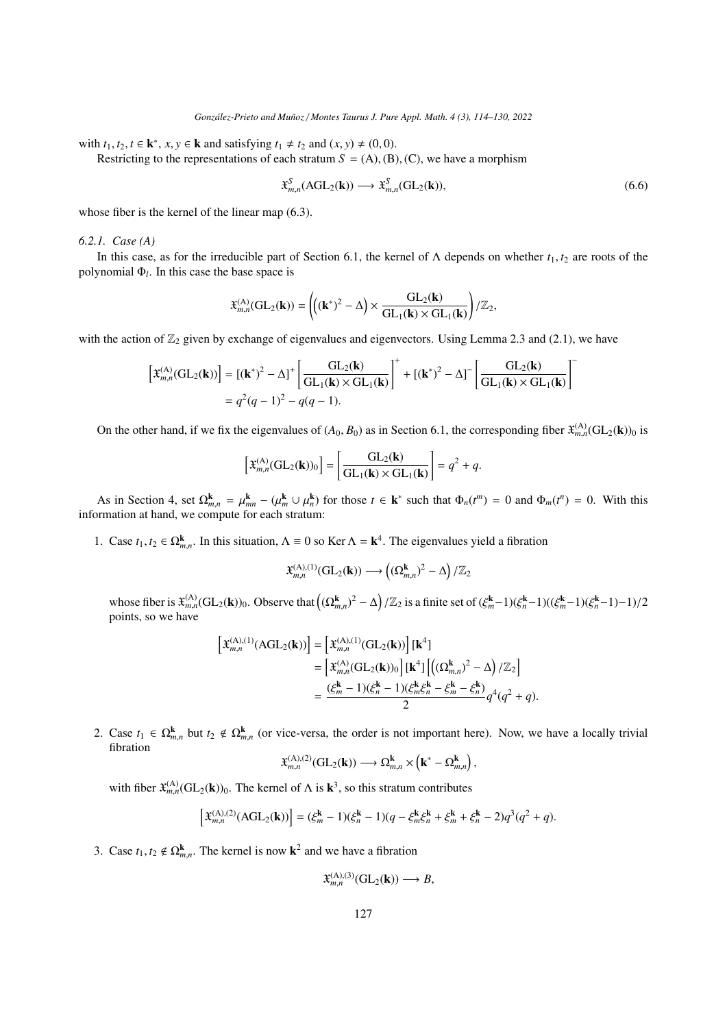with  $t_1, t_2, t \in \mathbf{k}^*$ ,  $x, y \in \mathbf{k}$  and satisfying  $t_1 \neq t_2$  and  $(x, y) \neq (0, 0)$ .<br>Restricting to the representations of each stratum  $S = (A)$  (R)

Restricting to the representations of each stratum  $S = (A)$ ,  $(B)$ ,  $(C)$ , we have a morphism

$$
\mathfrak{X}_{m,n}^S(\text{AGL}_2(\mathbf{k})) \longrightarrow \mathfrak{X}_{m,n}^S(\text{GL}_2(\mathbf{k})),\tag{6.6}
$$

whose fiber is the kernel of the linear map [\(6.3\)](#page-10-1).

#### <span id="page-13-0"></span>*6.2.1. Case (A)*

In this case, as for the irreducible part of Section [6.1,](#page-10-5) the kernel of  $\Lambda$  depends on whether  $t_1, t_2$  are roots of the polynomial Φ*<sup>l</sup>* . In this case the base space is

$$
\mathfrak{X}^{(\mathrm{A})}_{m,n}(\mathrm{GL}_2(\mathbf{k})) = \left( \!\left( (\mathbf{k}^*)^2 - \Delta \right) \times \frac{\mathrm{GL}_2(\mathbf{k})}{\mathrm{GL}_1(\mathbf{k}) \times \mathrm{GL}_1(\mathbf{k})} \right) / \mathbb{Z}_2,
$$

with the action of  $\mathbb{Z}_2$  given by exchange of eigenvalues and eigenvectors. Using Lemma [2.3](#page-3-2) and [\(2.1\)](#page-3-0), we have

$$
\left[\mathfrak{X}_{m,n}^{(\mathbf{A})}(\mathrm{GL}_2(\mathbf{k}))\right] = \left[(\mathbf{k}^*)^2 - \Delta\right]^+ \left[\frac{\mathrm{GL}_2(\mathbf{k})}{\mathrm{GL}_1(\mathbf{k}) \times \mathrm{GL}_1(\mathbf{k})}\right]^+ + \left[(\mathbf{k}^*)^2 - \Delta\right]^- \left[\frac{\mathrm{GL}_2(\mathbf{k})}{\mathrm{GL}_1(\mathbf{k}) \times \mathrm{GL}_1(\mathbf{k})}\right]^-\newline = q^2(q-1)^2 - q(q-1).
$$

On the other hand, if we fix the eigenvalues of  $(A_0, B_0)$  as in Section [6.1,](#page-10-5) the corresponding fiber  $\mathfrak{X}_{m,n}^{(A)}(\mathrm{GL}_2(\mathbf{k}))_0$  is

$$
\left[\mathfrak{X}_{m,n}^{(\mathbf{A})}(\mathrm{GL}_2(\mathbf{k}))_0\right] = \left[\frac{\mathrm{GL}_2(\mathbf{k})}{\mathrm{GL}_1(\mathbf{k}) \times \mathrm{GL}_1(\mathbf{k})}\right] = q^2 + q.
$$

As in Section [4,](#page-6-2) set  $\Omega_{m,n}^{\mathbf{k}} = \mu_{mn}^{\mathbf{k}} - (\mu_m^{\mathbf{k}} \cup \mu_n^{\mathbf{k}})$  for those  $t \in \mathbf{k}^*$  such that  $\Phi_n(t^m) = 0$  and  $\Phi_m(t^n) = 0$ . With this information at hand, we compute for each stratum:

1. Case  $t_1, t_2 \in \Omega^{\mathbf{k}}_{m,n}$ . In this situation,  $\Lambda = 0$  so Ker  $\Lambda = \mathbf{k}^4$ . The eigenvalues yield a fibration

$$
\mathfrak{X}_{m,n}^{(\mathrm{A}), (1)}(\mathrm{GL}_2(\mathbf{k})) \longrightarrow \left( (\Omega_{m,n}^{\mathbf{k}})^2 - \Delta \right) / \mathbb{Z}_2
$$

whose fiber is  $\mathfrak{X}_{m,n}^{(A)}(\mathrm{GL}_2(\mathbf{k}))_0$ . Observe that  $((\Omega_{m,n}^{\mathbf{k}})^2 - \Delta)/\mathbb{Z}_2$  is a finite set of  $(\xi_m^{\mathbf{k}}-1)(\xi_n^{\mathbf{k}}-1)((\xi_m^{\mathbf{k}}-1)(\xi_n^{\mathbf{k}}-1)-1)/2$ points, so we have

$$
\begin{aligned} \left[\mathfrak{X}_{m,n}^{(\mathrm{A}), (1)}(\mathrm{AGL}_{2}(\mathbf{k}))\right] &= \left[\mathfrak{X}_{m,n}^{(\mathrm{A}), (1)}(\mathrm{GL}_{2}(\mathbf{k}))\right][\mathbf{k}^{4}] \\ &= \left[\mathfrak{X}_{m,n}^{(\mathrm{A})}(\mathrm{GL}_{2}(\mathbf{k}))_{0}\right][\mathbf{k}^{4}]\left[\left((\Omega_{m,n}^{\mathbf{k}})^{2} - \Delta\right)/\mathbb{Z}_{2}\right] \\ &= \frac{(\xi_{m}^{\mathbf{k}} - 1)(\xi_{n}^{\mathbf{k}} - 1)(\xi_{m}^{\mathbf{k}}\xi_{n}^{\mathbf{k}} - \xi_{m}^{\mathbf{k}} - \xi_{n}^{\mathbf{k}})}{2}q^{4}(q^{2} + q). \end{aligned}
$$

2. Case  $t_1 \in \Omega_{m,n}^k$  but  $t_2 \notin \Omega_{m,n}^k$  (or vice-versa, the order is not important here). Now, we have a locally trivial fibration fibration

$$
\mathfrak{X}_{m,n}^{(\mathrm{A}), (2)}(\mathrm{GL}_2(\mathbf{k})) \longrightarrow \Omega_{m,n}^{\mathbf{k}} \times (\mathbf{k}^* - \Omega_{m,n}^{\mathbf{k}}),
$$

with fiber  $\mathfrak{X}_{m,n}^{(A)}(\mathrm{GL}_2(\mathbf{k}))_0$ . The kernel of  $\Lambda$  is  $\mathbf{k}^3$ , so this stratum contributes

$$
\left[\mathfrak{X}_{m,n}^{(\mathbf{A}),(2)}(\mathbf{AGL}_2(\mathbf{k}))\right] = (\xi_m^{\mathbf{k}} - 1)(\xi_n^{\mathbf{k}} - 1)(q - \xi_m^{\mathbf{k}}\xi_n^{\mathbf{k}} + \xi_m^{\mathbf{k}} + \xi_n^{\mathbf{k}} - 2)q^3(q^2 + q).
$$

3. Case  $t_1, t_2 \notin \Omega_{m,n}^k$ . The kernel is now  $k^2$  and we have a fibration

$$
\mathfrak{X}_{m,n}^{(A),(3)}(GL_2(\mathbf{k})) \longrightarrow B,
$$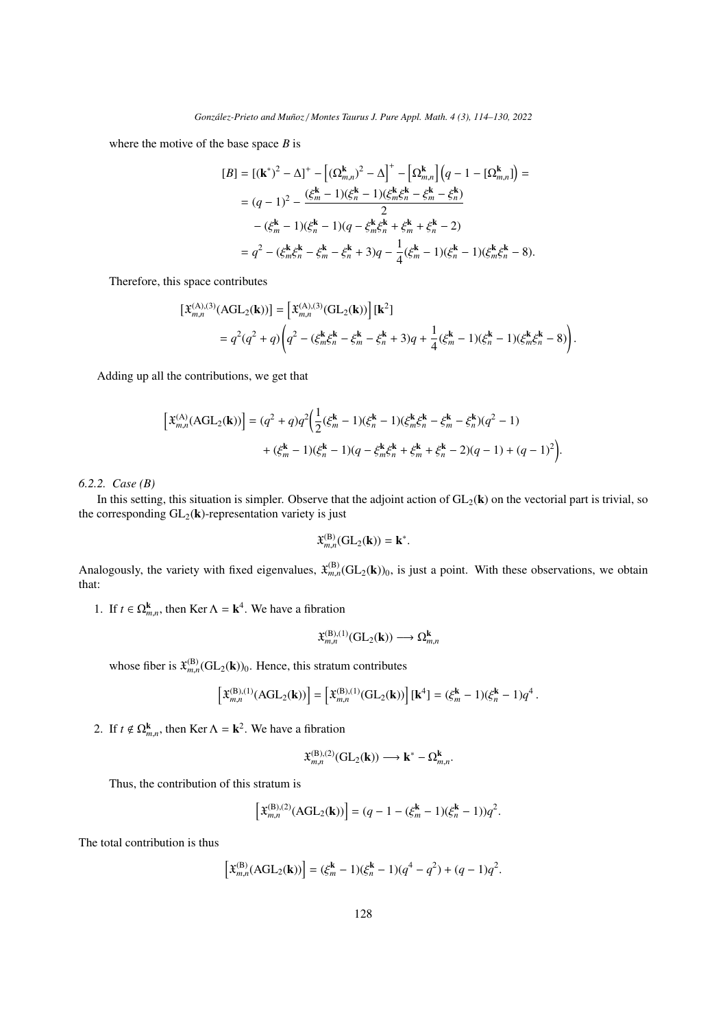where the motive of the base space *B* is

$$
[B] = [(k^*)^2 - \Delta]^+ - \left[ (\Omega_{m,n}^k)^2 - \Delta \right]^+ - \left[ \Omega_{m,n}^k \right] \left( q - 1 - [\Omega_{m,n}^k] \right) =
$$
  
\n
$$
= (q-1)^2 - \frac{(\xi_m^k - 1)(\xi_n^k - 1)(\xi_m^k \xi_n^k - \xi_m^k - \xi_n^k)}{2}
$$
  
\n
$$
- (\xi_m^k - 1)(\xi_n^k - 1)(q - \xi_m^k \xi_n^k + \xi_m^k + \xi_n^k - 2)
$$
  
\n
$$
= q^2 - (\xi_m^k \xi_n^k - \xi_m^k - \xi_n^k + 3)q - \frac{1}{4} (\xi_m^k - 1)(\xi_n^k - 1)(\xi_m^k \xi_n^k - 8).
$$

Therefore, this space contributes

$$
\begin{split} \left[\mathfrak{X}_{m,n}^{(\mathrm{A}),(3)}(\mathrm{AGL}_{2}(\mathbf{k}))\right] &= \left[\mathfrak{X}_{m,n}^{(\mathrm{A}),(3)}(\mathrm{GL}_{2}(\mathbf{k}))\right][\mathbf{k}^{2}] \\ &= q^{2}(q^{2}+q)\left(q^{2}-(\xi_{m}^{k}\xi_{n}^{k}-\xi_{m}^{k}-\xi_{n}^{k}+3)q+\frac{1}{4}(\xi_{m}^{k}-1)(\xi_{n}^{k}-1)(\xi_{m}^{k}\xi_{n}^{k}-8)\right). \end{split}
$$

Adding up all the contributions, we get that

$$
\left[\mathfrak{X}_{m,n}^{(A)}(AGL_2(\mathbf{k}))\right] = (q^2 + q)q^2 \Big(\frac{1}{2}(\xi_m^{\mathbf{k}} - 1)(\xi_n^{\mathbf{k}} - 1)(\xi_m^{\mathbf{k}}\xi_n^{\mathbf{k}} - \xi_m^{\mathbf{k}} - \xi_n^{\mathbf{k}})(q^2 - 1) + (\xi_m^{\mathbf{k}} - 1)(\xi_n^{\mathbf{k}} - 1)(q - \xi_m^{\mathbf{k}}\xi_n^{\mathbf{k}} + \xi_m^{\mathbf{k}} + \xi_n^{\mathbf{k}} - 2)(q - 1) + (q - 1)^2\Big).
$$

<span id="page-14-0"></span>*6.2.2. Case (B)*

In this setting, this situation is simpler. Observe that the adjoint action of  $GL_2(k)$  on the vectorial part is trivial, so the corresponding  $GL_2(k)$ -representation variety is just

$$
\mathfrak{X}_{m,n}^{(\mathrm{B})}(\mathrm{GL}_2(\mathbf{k}))=\mathbf{k}^*.
$$

Analogously, the variety with fixed eigenvalues,  $\mathfrak{X}_{m,n}^{(B)}(\mathrm{GL}_2(\mathbf{k}))_0$ , is just a point. With these observations, we obtain that:

1. If  $t \in \Omega_{m,n}^k$ , then Ker  $\Lambda = \mathbf{k}^4$ . We have a fibration

$$
\mathfrak{X}_{m,n}^{(\mathrm{B}), (1)}(\mathrm{GL}_2(\mathbf{k})) \longrightarrow \Omega_{m,n}^{\mathbf{k}}
$$

whose fiber is  $\mathfrak{X}_{m,n}^{(\mathbf{B})}(\mathrm{GL}_2(\mathbf{k}))_0$ . Hence, this stratum contributes

$$
\left[\mathfrak{X}_{m,n}^{(\mathrm{B}), (1)}(\mathrm{AGL}_2(\mathbf{k}))\right] = \left[\mathfrak{X}_{m,n}^{(\mathrm{B}), (1)}(\mathrm{GL}_2(\mathbf{k}))\right][\mathbf{k}^4] = (\xi_m^{\mathbf{k}} - 1)(\xi_n^{\mathbf{k}} - 1)q^4.
$$

2. If  $t \notin \Omega_{m,n}^k$ , then Ker  $\Lambda = \mathbf{k}^2$ . We have a fibration

$$
\mathfrak{X}_{m,n}^{(\mathrm{B}),(2)}(\mathrm{GL}_2(\mathbf{k})) \longrightarrow \mathbf{k}^* - \Omega_{m,n}^{\mathbf{k}}.
$$

Thus, the contribution of this stratum is

$$
\left[\mathfrak{X}_{m,n}^{(\mathbf{B}), (2)}(\text{AGL}_2(\mathbf{k}))\right] = (q-1 - (\xi_m^{\mathbf{k}} - 1)(\xi_n^{\mathbf{k}} - 1))q^2.
$$

The total contribution is thus

$$
\left[\mathfrak{X}_{m,n}^{(\mathrm{B})}(\mathrm{AGL}_{2}(\mathbf{k}))\right]=(\xi_{m}^{k}-1)(\xi_{n}^{k}-1)(q^{4}-q^{2})+(q-1)q^{2}.
$$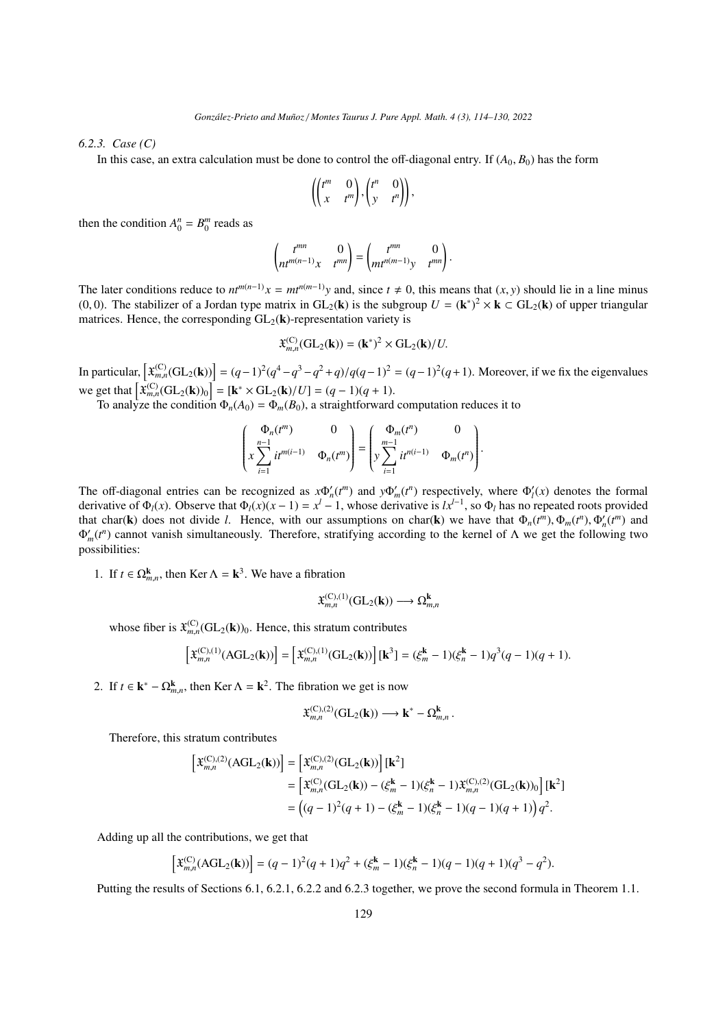<span id="page-15-0"></span>*6.2.3. Case (C)*

In this case, an extra calculation must be done to control the off-diagonal entry. If  $(A_0, B_0)$  has the form

$$
\left(\begin{pmatrix} t^m & 0 \\ x & t^m \end{pmatrix}, \begin{pmatrix} t^n & 0 \\ y & t^n \end{pmatrix}\right),\right.
$$

then the condition  $A_0^n = B_0^m$  reads as

$$
\begin{pmatrix} t^{mn} & 0 \\ nt^{m(n-1)}x & t^{mn} \end{pmatrix} = \begin{pmatrix} t^{mn} & 0 \\ mt^{n(m-1)}y & t^{mn} \end{pmatrix}.
$$

The later conditions reduce to  $nt^{m(n-1)}x = mt^{n(m-1)}y$  and, since  $t \neq 0$ , this means that  $(x, y)$  should lie in a line minus (0, 0). The stabilizer of a Jordan type matrix in  $GL_2(\mathbf{k})$  is the subgroup  $U = (\mathbf{k}^*)^2 \times \mathbf{k} \subset GL_2(\mathbf{k})$  of upper triangular matrices. Hence the corresponding  $GL_2(\mathbf{k})$  representation variety is matrices. Hence, the corresponding  $GL_2(\mathbf{k})$ -representation variety is

$$
\mathfrak{X}_{m,n}^{(C)}(\mathrm{GL}_2(\mathbf{k})) = (\mathbf{k}^*)^2 \times \mathrm{GL}_2(\mathbf{k})/U.
$$

In particular,  $\left[ \mathbf{x}_{m,n}^{(C)}(\mathbf{GL}_2(\mathbf{k})) \right] = (q-1)^2(q^4-q^3-q^2+q)/q(q-1)^2 = (q-1)^2(q+1)$ . Moreover, if we fix the eigenvalues we get that  $\left[ \mathfrak{X}_{m,n}^{(C)}(\mathrm{GL}_2(\mathbf{k}))_0 \right] = \left[ \mathbf{k}^* \times \mathrm{GL}_2(\mathbf{k})/U \right] = (q-1)(q+1)$ .<br>To analyze the condition  $\Phi_n(A_0) = \Phi_m(B_0)$ , a straightforward computation reduces it to

$$
\begin{pmatrix} \Phi_n(t^m) & 0 \\ x \sum_{i=1}^{n-1} it^{m(i-1)} & \Phi_n(t^m) \end{pmatrix} = \begin{pmatrix} \Phi_m(t^n) & 0 \\ y \sum_{i=1}^{m-1} it^{n(i-1)} & \Phi_m(t^n) \end{pmatrix}.
$$

The off-diagonal entries can be recognized as  $x \Phi_n'(t^m)$  and  $y \Phi_m'(t^n)$  respectively, where  $\Phi_l'(x)$  denotes the formal derivative of  $\Phi_l(x)$ . Observe that  $\Phi_l(x)(x-1) = x^l - 1$ , whose derivative is  $lx^{l-1}$ , so  $\Phi_l$  has no repeated roots provided that char(**k**) does not divide *l*. Hence, with our assumptions on char(**k**) we have that  $\Phi_n(t^m), \Phi_m(t^n), \Phi'_n(t^m)$  and  $\Phi'(t^n)$  cannot vanish simultaneously. Therefore, stratifying according to the kernel of A we get the f  $\Phi'_m(t^n)$  cannot vanish simultaneously. Therefore, stratifying according to the kernel of Λ we get the following two possibilities:

1. If  $t \in \Omega_{m,n}^k$ , then Ker  $\Lambda = \mathbf{k}^3$ . We have a fibration

$$
\mathfrak{X}_{m,n}^{(\mathcal{C}), (1)}(\mathrm{GL}_2(\mathbf{k})) \longrightarrow \Omega_{m,n}^{\mathbf{k}}
$$

whose fiber is  $\mathfrak{X}_{m,n}^{(C)}(\mathrm{GL}_2(\mathbf{k}))_0$ . Hence, this stratum contributes

$$
\left[\mathfrak{X}_{m,n}^{(\mathcal{C}), (1)}(AGL_2(\mathbf{k}))\right] = \left[\mathfrak{X}_{m,n}^{(\mathcal{C}), (1)}(GL_2(\mathbf{k}))\right][\mathbf{k}^3] = (\xi_m^{\mathbf{k}} - 1)(\xi_n^{\mathbf{k}} - 1)q^3(q-1)(q+1).
$$

2. If  $t \in \mathbf{k}^* - \Omega_{m,n}^{\mathbf{k}}$ , then Ker  $\Lambda = \mathbf{k}^2$ . The fibration we get is now

$$
\mathfrak{X}_{m,n}^{(C),(2)}(GL_2(\mathbf{k}))\longrightarrow \mathbf{k}^*-\Omega_{m,n}^{\mathbf{k}}
$$

Therefore, this stratum contributes

$$
\begin{split} \left[\mathfrak{X}_{m,n}^{(\mathrm{C}), (2)}(\mathrm{AGL}_2(\mathbf{k}))\right] &= \left[\mathfrak{X}_{m,n}^{(\mathrm{C}), (2)}(\mathrm{GL}_2(\mathbf{k}))\right][\mathbf{k}^2] \\ &= \left[\mathfrak{X}_{m,n}^{(\mathrm{C})}(\mathrm{GL}_2(\mathbf{k})) - (\xi_m^{\mathbf{k}} - 1)(\xi_n^{\mathbf{k}} - 1)\mathfrak{X}_{m,n}^{(\mathrm{C}), (2)}(\mathrm{GL}_2(\mathbf{k}))_0\right][\mathbf{k}^2] \\ &= \left((q-1)^2(q+1) - (\xi_m^{\mathbf{k}} - 1)(\xi_n^{\mathbf{k}} - 1)(q-1)(q+1)\right)q^2. \end{split}
$$

Adding up all the contributions, we get that

$$
\left[\mathfrak{X}_{m,n}^{(C)}(\text{AGL}_2(\mathbf{k}))\right] = (q-1)^2(q+1)q^2 + (\xi_m^{\mathbf{k}} - 1)(\xi_n^{\mathbf{k}} - 1)(q-1)(q+1)(q^3 - q^2).
$$

Putting the results of Sections [6.1,](#page-10-5) [6.2.1,](#page-13-0) [6.2.2](#page-14-0) and [6.2.3](#page-15-0) together, we prove the second formula in Theorem [1.1.](#page-1-0)